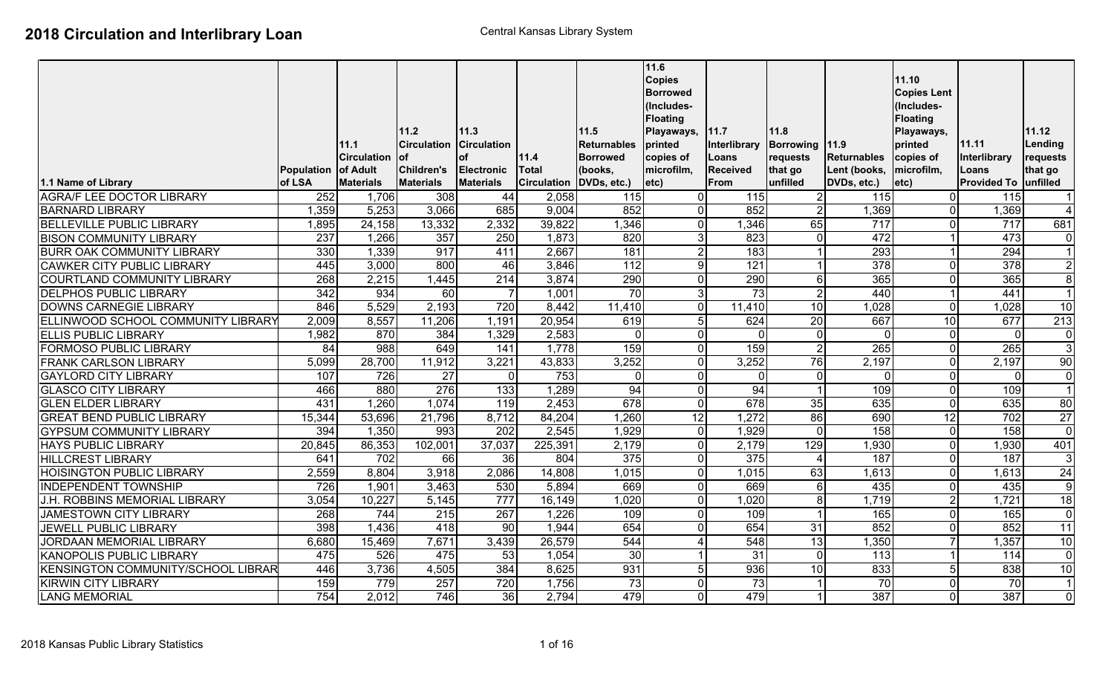|                                           | Population of Adult | 11.1<br><b>Circulation</b> | 11.2<br><b>Circulation</b><br>lof<br><b>Children's</b> | 11.3<br><b>Circulation</b><br><b>of</b><br><b>Electronic</b> | 11.4<br><b>Total</b> | 11.5<br>Returnables<br><b>Borrowed</b><br>(books, | 11.6<br><b>Copies</b><br><b>Borrowed</b><br>(Includes-<br><b>Floating</b><br>Playaways,<br>printed<br>copies of<br>microfilm, | 11.7<br>Interlibrary<br>Loans<br><b>Received</b> | 11.8<br>Borrowing   11.9<br>requests<br>that go | Returnables<br>Lent (books, | 11.10<br><b>Copies Lent</b><br>(Includes-<br><b>Floating</b><br>Playaways,<br>printed<br>copies of<br>microfilm, | 11.11<br>Interlibrary<br>Loans | 11.12<br>Lending<br>requests<br>that go |
|-------------------------------------------|---------------------|----------------------------|--------------------------------------------------------|--------------------------------------------------------------|----------------------|---------------------------------------------------|-------------------------------------------------------------------------------------------------------------------------------|--------------------------------------------------|-------------------------------------------------|-----------------------------|------------------------------------------------------------------------------------------------------------------|--------------------------------|-----------------------------------------|
| 1.1 Name of Library                       | of LSA              | <b>Materials</b>           | <b>Materials</b>                                       | <b>Materials</b>                                             | <b>Circulation</b>   | DVDs, etc.)                                       | $ $ etc $\rangle$                                                                                                             | From                                             | unfilled                                        | DVDs, etc.)                 | etc)                                                                                                             | <b>Provided To</b>             | unfilled                                |
| <b>AGRA/F LEE DOCTOR LIBRARY</b>          | 252                 | 1,706                      | 308                                                    | 44                                                           | 2,058                | 115                                               |                                                                                                                               | 115                                              | $\overline{2}$                                  | 115                         | $\overline{0}$                                                                                                   | 115                            | $\overline{1}$                          |
| <b>BARNARD LIBRARY</b>                    | 1,359               | 5,253                      | 3,066                                                  | 685                                                          | 9,004                | 852                                               |                                                                                                                               | 852                                              | $\overline{2}$                                  | 1,369                       | $\overline{0}$                                                                                                   | 1,369                          | $\overline{4}$                          |
| <b>BELLEVILLE PUBLIC LIBRARY</b>          | 1,895               | 24, 158                    | 13,332                                                 | 2,332                                                        | 39,822               | 1,346                                             | $\Omega$                                                                                                                      | 1,346                                            | 65                                              | 717                         | $\overline{0}$                                                                                                   | 717                            | 681                                     |
| <b>BISON COMMUNITY LIBRARY</b>            | 237                 | 1,266                      | 357                                                    | 250                                                          | 1,873                | 820                                               |                                                                                                                               | 823                                              | $\overline{0}$                                  | 472                         |                                                                                                                  | 473                            | $\mathbf 0$                             |
| <b>BURR OAK COMMUNITY LIBRARY</b>         | 330                 | 1,339                      | 917                                                    | 411                                                          | 2,667                | 181                                               |                                                                                                                               | 183                                              | $\mathbf{1}$                                    | 293                         |                                                                                                                  | 294                            | $\overline{1}$                          |
| <b>CAWKER CITY PUBLIC LIBRARY</b>         | 445                 | 3,000                      | 800                                                    | 46                                                           | 3,846                | 112                                               | q                                                                                                                             | 121                                              | $\mathbf 1$                                     | $\overline{378}$            | $\overline{0}$                                                                                                   | $\overline{378}$               | $\overline{2}$                          |
| COURTLAND COMMUNITY LIBRARY               | 268                 | 2,215                      | 1,445                                                  | 214                                                          | 3,874                | 290                                               |                                                                                                                               | 290                                              | 6                                               | 365                         | $\overline{0}$                                                                                                   | 365                            | $\overline{8}$                          |
| <b>DELPHOS PUBLIC LIBRARY</b>             | 342                 | 934                        | 60                                                     |                                                              | 1,001                | 70                                                | 3                                                                                                                             | 73                                               | $\overline{2}$                                  | 440                         |                                                                                                                  | 441                            | $\overline{1}$                          |
| <b>DOWNS CARNEGIE LIBRARY</b>             | 846                 | 5,529                      | 2,193                                                  | 720                                                          | 8,442                | 11,410                                            |                                                                                                                               | 11,410                                           | 10                                              | 1,028                       | $\overline{0}$                                                                                                   | 1,028                          | $\overline{10}$                         |
| ELLINWOOD SCHOOL COMMUNITY LIBRARY        | 2,009               | 8,557                      | 11,206                                                 | 1,191                                                        | 20,954               | 619                                               |                                                                                                                               | 624                                              | 20                                              | 667                         | 10                                                                                                               | 677                            | 213                                     |
| <b>ELLIS PUBLIC LIBRARY</b>               | 1,982               | 870                        | 384                                                    | 1,329                                                        | 2,583                | $\overline{0}$                                    | $\Omega$                                                                                                                      | <sup>0</sup>                                     | $\overline{0}$                                  | $\Omega$                    | $\overline{0}$                                                                                                   | $\Omega$                       | $\mathbf 0$                             |
| <b>FORMOSO PUBLIC LIBRARY</b>             | 84                  | $\overline{988}$           | 649                                                    | 141                                                          | 1,778                | 159                                               |                                                                                                                               | 159                                              | $\overline{2}$                                  | 265                         | $\overline{0}$                                                                                                   | 265                            | $\overline{3}$                          |
| <b>FRANK CARLSON LIBRARY</b>              | 5,099               | 28,700                     | 11,912                                                 | 3,221                                                        | 43,833               | 3,252                                             | $\Omega$                                                                                                                      | 3,252                                            | 76                                              | 2,197                       | $\overline{0}$                                                                                                   | 2,197                          | $\overline{90}$                         |
| <b>GAYLORD CITY LIBRARY</b>               | 107                 | 726                        | 27                                                     | $\mathbf{0}$                                                 | 753                  | $\overline{0}$                                    | $\Omega$                                                                                                                      | $\Omega$                                         | $\overline{0}$                                  | $\Omega$                    | $\overline{0}$                                                                                                   | $\Omega$                       | $\mathbf 0$                             |
| <b>GLASCO CITY LIBRARY</b>                | 466                 | 880                        | 276                                                    | $\overline{133}$                                             | 1,289                | 94                                                |                                                                                                                               | 94                                               | $\vert$ 1                                       | 109                         | $\overline{\mathsf{I}}$                                                                                          | 109                            | $\overline{1}$                          |
| <b>GLEN ELDER LIBRARY</b>                 | 431                 | 1,260                      | 1,074                                                  | 119                                                          | 2,453                | 678                                               | $\mathbf{0}$                                                                                                                  | 678                                              | 35                                              | 635                         | $\overline{0}$                                                                                                   | 635                            | 80                                      |
| <b>GREAT BEND PUBLIC LIBRARY</b>          | 15,344              | 53,696                     | 21,796                                                 | 8,712                                                        | 84,204               | 1,260                                             | 12                                                                                                                            | 1,272                                            | 86                                              | 690                         | 12                                                                                                               | $\overline{702}$               | $\overline{27}$                         |
| <b>GYPSUM COMMUNITY LIBRARY</b>           | 394                 | 1,350                      | 993                                                    | $\overline{202}$                                             | 2,545                | 1,929                                             | $\Omega$                                                                                                                      | 1,929                                            | $\overline{0}$                                  | 158                         | $\overline{0}$                                                                                                   | 158                            | $\overline{0}$                          |
| <b>HAYS PUBLIC LIBRARY</b>                | 20,845              | 86,353                     | 102,001                                                | 37,037                                                       | 225,391              | 2,179                                             | $\Omega$                                                                                                                      | 2,179                                            | $\overline{129}$                                | 1,930                       | $\overline{0}$                                                                                                   | 1,930                          | 401                                     |
| <b>HILLCREST LIBRARY</b>                  | 641                 | 702                        | 66                                                     | 36                                                           | 804                  | $\overline{375}$                                  |                                                                                                                               | 375                                              | $\overline{4}$                                  | 187                         | $\overline{0}$                                                                                                   | 187                            | $\overline{3}$                          |
| <b>HOISINGTON PUBLIC LIBRARY</b>          | 2,559               | 8,804                      | 3,918                                                  | 2,086                                                        | 14,808               | 1,015                                             |                                                                                                                               | 1,015                                            | 63                                              | 1,613                       | $\overline{0}$                                                                                                   | 1,613                          | 24                                      |
| <b>INDEPENDENT TOWNSHIP</b>               | 726                 | 1,901                      | 3,463                                                  | 530                                                          | 5,894                | 669                                               |                                                                                                                               | 669                                              | $6 \mid$                                        | 435                         | $\overline{0}$                                                                                                   | 435                            | 9                                       |
| J.H. ROBBINS MEMORIAL LIBRARY             | 3,054               | 10,227                     | 5,145                                                  | $\overline{777}$                                             | 16,149               | 1,020                                             |                                                                                                                               | 1,020                                            | $\infty$                                        | 1,719                       | $\overline{2}$                                                                                                   | 1,721                          | $\overline{18}$                         |
| JAMESTOWN CITY LIBRARY                    | 268                 | 744                        | $\overline{215}$                                       | 267                                                          | 1,226                | 109                                               |                                                                                                                               | 109                                              | $\mathbf{1}$                                    | 165                         | $\overline{0}$                                                                                                   | 165                            | $\mathbf 0$                             |
| JEWELL PUBLIC LIBRARY                     | 398                 | 1,436                      | 418                                                    | $\overline{90}$                                              | 1,944                | 654                                               |                                                                                                                               | 654                                              | 31                                              | 852                         | $\overline{0}$                                                                                                   | 852                            | $\overline{11}$                         |
| JORDAAN MEMORIAL LIBRARY                  | 6,680               | 15,469                     | 7,671                                                  | 3,439                                                        | 26,579               | 544                                               |                                                                                                                               | 548                                              | 13                                              | 1,350                       |                                                                                                                  | 1,357                          | 10                                      |
| <b>KANOPOLIS PUBLIC LIBRARY</b>           | 475                 | 526                        | 475                                                    | 53                                                           | 1,054                | 30                                                |                                                                                                                               | 31                                               | $\overline{0}$                                  | 113                         |                                                                                                                  | 114                            | $\mathbf 0$                             |
| <b>KENSINGTON COMMUNITY/SCHOOL LIBRAR</b> | 446                 | 3,736                      | 4,505                                                  | 384                                                          | 8,625                | 931                                               |                                                                                                                               | 936                                              | 10                                              | 833                         | 5 <sub>l</sub>                                                                                                   | 838                            | 10                                      |
| <b>KIRWIN CITY LIBRARY</b>                | 159                 | 779                        | 257                                                    | 720                                                          | 1,756                | 73                                                |                                                                                                                               | 73                                               | 1                                               | 70                          | $\overline{0}$                                                                                                   | 70                             | $\overline{1}$                          |
| <b>LANG MEMORIAL</b>                      | 754                 | 2,012                      | 746                                                    | 36                                                           | 2,794                | 479                                               |                                                                                                                               | 479                                              | $\overline{1}$                                  | 387                         | οI                                                                                                               | 387                            | $\overline{0}$                          |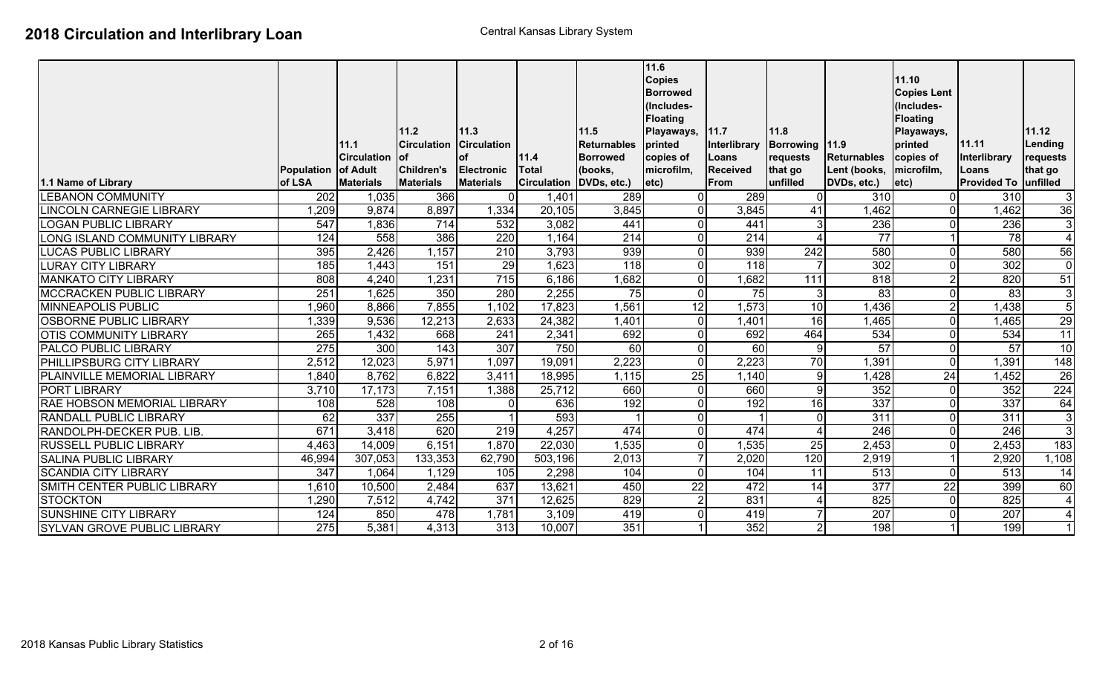| 1.1 Name of Library                | Population<br>of LSA | 11.1<br><b>Circulation</b><br>of Adult<br><b>Materials</b> | 111.2<br><b>Circulation</b><br>lof<br>Children's<br><b>Materials</b> | 11.3<br><b>Circulation</b><br><b>of</b><br><b>Electronic</b><br><b>Materials</b> | 11.4<br>Total<br><b>Circulation</b> | 11.5<br><b>Returnables</b><br><b>Borrowed</b><br>(books,<br>DVDs, etc.) | 11.6<br><b>Copies</b><br><b>Borrowed</b><br>(Includes-<br><b>Floating</b><br>Playaways,<br>printed<br>copies of<br>microfilm,<br>$ etc\rangle$ | 11.7<br>Interlibrary<br>Loans<br><b>Received</b><br>From | 11.8<br>Borrowing   11.9<br>requests<br>that go<br>unfilled | <b>Returnables</b><br>Lent (books,<br>DVDs, etc.) | 11.10<br><b>Copies Lent</b><br>(Includes-<br><b>Floating</b><br>Playaways,<br>printed<br>copies of<br>microfilm,<br>$ $ etc $ $ | 11.11<br>Interlibrary<br>Loans<br><b>Provided To</b> | 11.12<br>Lending<br>requests<br>that go<br>unfilled |
|------------------------------------|----------------------|------------------------------------------------------------|----------------------------------------------------------------------|----------------------------------------------------------------------------------|-------------------------------------|-------------------------------------------------------------------------|------------------------------------------------------------------------------------------------------------------------------------------------|----------------------------------------------------------|-------------------------------------------------------------|---------------------------------------------------|---------------------------------------------------------------------------------------------------------------------------------|------------------------------------------------------|-----------------------------------------------------|
| <b>LEBANON COMMUNITY</b>           | $\overline{202}$     | 1,035                                                      | 366                                                                  | $\overline{0}$                                                                   | 1,401                               | 289                                                                     |                                                                                                                                                | 289                                                      | $\overline{0}$                                              | 310                                               | $\overline{0}$                                                                                                                  | 310                                                  | 3                                                   |
| <b>LINCOLN CARNEGIE LIBRARY</b>    | 1,209                | 9,874                                                      | 8,897                                                                | 1,334                                                                            | 20,105                              | 3,845                                                                   |                                                                                                                                                | 3,845                                                    | 41                                                          | 1,462                                             | $\overline{\mathsf{I}}$                                                                                                         | 1,462                                                | $\overline{36}$                                     |
| <b>LOGAN PUBLIC LIBRARY</b>        | 547                  | 1,836                                                      | 714                                                                  | 532                                                                              | 3,082                               | 441                                                                     |                                                                                                                                                | 441                                                      | 3 <sup>l</sup>                                              | 236                                               | $\overline{0}$                                                                                                                  | 236                                                  | 3                                                   |
| LONG ISLAND COMMUNITY LIBRARY      | 124                  | 558                                                        | 386                                                                  | 220                                                                              | 1,164                               | 214                                                                     |                                                                                                                                                | 214                                                      | $\overline{4}$                                              | 77                                                |                                                                                                                                 | $\overline{78}$                                      | $\overline{4}$                                      |
| <b>LUCAS PUBLIC LIBRARY</b>        | 395                  | 2,426                                                      | 1,157                                                                | $\overline{210}$                                                                 | 3,793                               | 939                                                                     |                                                                                                                                                | 939                                                      | 242                                                         | 580                                               | $\overline{0}$                                                                                                                  | 580                                                  | $\overline{56}$                                     |
| <b>LURAY CITY LIBRARY</b>          | 185                  | 1,443                                                      | 151                                                                  | 29                                                                               | 1,623                               | $\overline{118}$                                                        |                                                                                                                                                | $\overline{118}$                                         |                                                             | 302                                               | $\overline{0}$                                                                                                                  | 302                                                  | $\overline{0}$                                      |
| <b>MANKATO CITY LIBRARY</b>        | 808                  | 4,240                                                      | 1,231                                                                | 715                                                                              | 6,186                               | 1,682                                                                   |                                                                                                                                                | 1,682                                                    | 111                                                         | 818                                               | $\overline{2}$                                                                                                                  | 820                                                  | 51                                                  |
| <b>MCCRACKEN PUBLIC LIBRARY</b>    | 251                  | 1,625                                                      | 350                                                                  | 280                                                                              | 2,255                               | 75                                                                      |                                                                                                                                                | 75                                                       | $\mathbf{3}$                                                | 83                                                | $\overline{0}$                                                                                                                  | 83                                                   | $\overline{3}$                                      |
| <b>MINNEAPOLIS PUBLIC</b>          | 960,                 | 8,866                                                      | 7,855                                                                | 1,102                                                                            | 17,823                              | 1,561                                                                   | 12                                                                                                                                             | 1,573                                                    | 10                                                          | ,436                                              | $\overline{2}$                                                                                                                  | 1,438                                                | $\overline{5}$                                      |
| <b>OSBORNE PUBLIC LIBRARY</b>      | 1,339                | 9,536                                                      | 12,213                                                               | 2,633                                                                            | 24,382                              | 1,401                                                                   |                                                                                                                                                | 1,401                                                    | 16                                                          | 1,465                                             | $\overline{0}$                                                                                                                  | 1,465                                                | 29                                                  |
| <b>OTIS COMMUNITY LIBRARY</b>      | 265                  | 1,432                                                      | 668                                                                  | 241                                                                              | 2,341                               | 692                                                                     |                                                                                                                                                | 692                                                      | 464                                                         | 534                                               | $\overline{0}$                                                                                                                  | 534                                                  | $\overline{11}$                                     |
| <b>PALCO PUBLIC LIBRARY</b>        | 275                  | 300                                                        | 143                                                                  | 307                                                                              | 750                                 | 60                                                                      |                                                                                                                                                | 60                                                       | 9                                                           | 57                                                | $\overline{0}$                                                                                                                  | 57                                                   | 10                                                  |
| <b>PHILLIPSBURG CITY LIBRARY</b>   | 2,512                | 12,023                                                     | 5,971                                                                | 1,097                                                                            | 19,091                              | 2,223                                                                   |                                                                                                                                                | 2,223                                                    | 70                                                          | 1,391                                             | $\overline{0}$                                                                                                                  | 1,391                                                | $\overline{148}$                                    |
| PLAINVILLE MEMORIAL LIBRARY        | 1,840                | 8,762                                                      | 6,822                                                                | 3,411                                                                            | 18,995                              | 1,115                                                                   | 25                                                                                                                                             | 1,140                                                    | 9                                                           | 1,428                                             | 24                                                                                                                              | 1,452                                                | $\overline{26}$                                     |
| <b>PORT LIBRARY</b>                | 3,710                | 17,173                                                     | 7,151                                                                | 1,388                                                                            | 25,712                              | 660                                                                     |                                                                                                                                                | 660                                                      | $\overline{9}$                                              | 352                                               | $\overline{0}$                                                                                                                  | 352                                                  | 224                                                 |
| <b>RAE HOBSON MEMORIAL LIBRARY</b> | 108                  | 528                                                        | 108                                                                  | $\mathbf{0}$                                                                     | 636                                 | 192                                                                     |                                                                                                                                                | 192                                                      | 16                                                          | 337                                               | $\overline{0}$                                                                                                                  | 337                                                  | 64                                                  |
| <b>RANDALL PUBLIC LIBRARY</b>      | 62                   | 337                                                        | 255                                                                  |                                                                                  | 593                                 |                                                                         |                                                                                                                                                |                                                          | $\overline{0}$                                              | 311                                               | $\mathbf 0$                                                                                                                     | 311                                                  | $\overline{3}$                                      |
| RANDOLPH-DECKER PUB. LIB.          | 671                  | 3,418                                                      | 620                                                                  | 219                                                                              | 4,257                               | 474                                                                     |                                                                                                                                                | 474                                                      | $\overline{4}$                                              | 246                                               | $\overline{0}$                                                                                                                  | 246                                                  | $\overline{3}$                                      |
| <b>RUSSELL PUBLIC LIBRARY</b>      | 4,463                | 14,009                                                     | 6,151                                                                | 1,870                                                                            | 22,030                              | 1,535                                                                   |                                                                                                                                                | 1,535                                                    | 25                                                          | 2,453                                             | $\overline{0}$                                                                                                                  | 2,453                                                | 183                                                 |
| SALINA PUBLIC LIBRARY              | 46,994               | 307,053                                                    | 133,353                                                              | 62,790                                                                           | 503,196                             | 2,013                                                                   |                                                                                                                                                | 2,020                                                    | 120                                                         | 2,919                                             |                                                                                                                                 | 2,920                                                | 1,108                                               |
| <b>SCANDIA CITY LIBRARY</b>        | 347                  | 1,064                                                      | 1,129                                                                | 105                                                                              | 2,298                               | 104                                                                     |                                                                                                                                                | 104                                                      | 11                                                          | 513                                               | $\overline{0}$                                                                                                                  | 513                                                  | 14                                                  |
| SMITH CENTER PUBLIC LIBRARY        | 1,610                | 10,500                                                     | 2,484                                                                | 637                                                                              | 13,621                              | 450                                                                     | 22                                                                                                                                             | 472                                                      | 14                                                          | $\overline{377}$                                  | $\overline{22}$                                                                                                                 | 399                                                  | 60                                                  |
| <b>STOCKTON</b>                    | 1,290                | 7,512                                                      | 4,742                                                                | $\overline{371}$                                                                 | 12,625                              | 829                                                                     |                                                                                                                                                | 831                                                      | $\overline{4}$                                              | 825                                               | $\overline{0}$                                                                                                                  | 825                                                  | $\overline{4}$                                      |
| <b>SUNSHINE CITY LIBRARY</b>       | 124                  | 850                                                        | 478                                                                  | 1,781                                                                            | 3,109                               | 419                                                                     |                                                                                                                                                | 419                                                      | $\overline{7}$                                              | 207                                               | $\overline{0}$                                                                                                                  | 207                                                  | $\overline{4}$                                      |
| SYLVAN GROVE PUBLIC LIBRARY        | 275                  | 5,381                                                      | 4,313                                                                | 313                                                                              | 10,007                              | 351                                                                     |                                                                                                                                                | 352                                                      | 2 <sup>1</sup>                                              | 198                                               |                                                                                                                                 | 199                                                  |                                                     |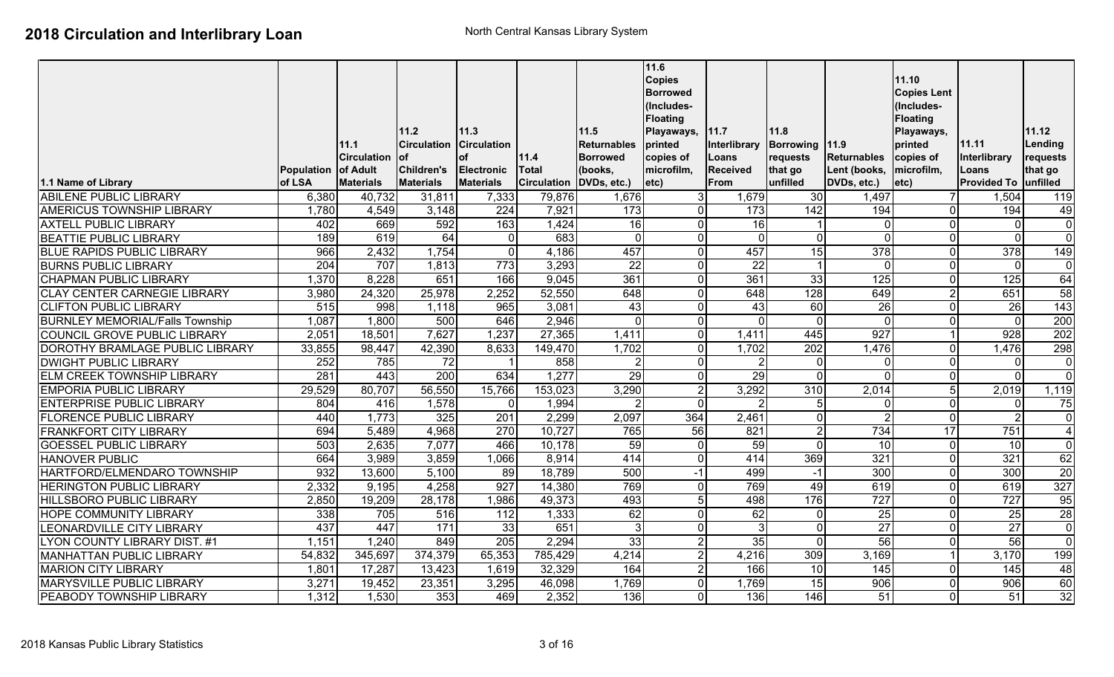|                                        |                   |                    | 11.2               | 11.3               |                    | $11.5$          | 11.6<br><b>Copies</b><br><b>Borrowed</b><br>(Includes-<br><b>Floating</b><br>Playaways, | 11.7            | 11.8             |                    | 11.10<br><b>Copies Lent</b><br>(Includes-<br><b>Floating</b><br>Playaways, |                      | 11.12            |
|----------------------------------------|-------------------|--------------------|--------------------|--------------------|--------------------|-----------------|-----------------------------------------------------------------------------------------|-----------------|------------------|--------------------|----------------------------------------------------------------------------|----------------------|------------------|
|                                        |                   | 11.1               | <b>Circulation</b> | <b>Circulation</b> |                    | Returnables     | printed                                                                                 | Interlibrary    | Borrowing 11.9   |                    | printed                                                                    | 11.11                | Lending          |
|                                        |                   | <b>Circulation</b> | lof                | <b>of</b>          | 11.4               | <b>Borrowed</b> | copies of                                                                               | Loans           | requests         | <b>Returnables</b> | copies of                                                                  | Interlibrary         | requests         |
|                                        | <b>Population</b> | of Adult           | Children's         | <b>Electronic</b>  | <b>Total</b>       | (books,         | microfilm,                                                                              | <b>Received</b> | that go          | Lent (books,       | microfilm,                                                                 | Loans                | that go          |
| 1.1 Name of Library                    | of LSA            | <b>Materials</b>   | <b>Materials</b>   | <b>Materials</b>   | <b>Circulation</b> | DVDs, etc.)     | letc)                                                                                   | From            | unfilled         | DVDs, etc.)        | etc)                                                                       | Provided To unfilled |                  |
| <b>ABILENE PUBLIC LIBRARY</b>          | 6,380             | 40,732             | 31,811             | 7,333              | 79,876             | 1,676           | $\mathcal{E}$                                                                           | 1,679           | 30               | 1,497              |                                                                            | 1,504                | 119              |
| <b>AMERICUS TOWNSHIP LIBRARY</b>       | 1,780             | 4,549              | 3,148              | 224                | 7,921              | 173             | $\overline{0}$                                                                          | 173             | 142              | 194                | U                                                                          | 194                  | 49               |
| <b>AXTELL PUBLIC LIBRARY</b>           | 402               | 669                | 592                | 163                | 1,424              | 16              | $\Omega$                                                                                | 16              |                  | $\overline{0}$     | <sup>0</sup>                                                               | $\mathbf 0$          | $\mathbf 0$      |
| <b>BEATTIE PUBLIC LIBRARY</b>          | 189               | 619                | 64                 | $\mathbf 0$        | 683                | $\overline{0}$  | $\Omega$                                                                                | $\mathbf 0$     | $\overline{0}$   | $\overline{0}$     | 0                                                                          | $\Omega$             | $\mathbf 0$      |
| <b>BLUE RAPIDS PUBLIC LIBRARY</b>      | 966               | 2,432              | 1,754              | $\mathbf 0$        | 4,186              | 457             | $\Omega$                                                                                | 457             | 15               | $\overline{378}$   | 0                                                                          | 378                  | 149              |
| <b>BURNS PUBLIC LIBRARY</b>            | 204               | 707                | 1,813              | 773                | 3,293              | $\overline{22}$ | $\Omega$                                                                                | $\overline{22}$ |                  | 0l                 | <sup>0</sup>                                                               | $\mathbf 0$          | $\mathbf 0$      |
| <b>CHAPMAN PUBLIC LIBRARY</b>          | 1,370             | 8,228              | 651                | 166                | 9,045              | 361             | $\overline{0}$                                                                          | 361             | 33               | $\overline{125}$   | <sup>0</sup>                                                               | 125                  | 64               |
| <b>CLAY CENTER CARNEGIE LIBRARY</b>    | 3,980             | 24,320             | 25,978             | 2,252              | 52,550             | 648             | $\Omega$                                                                                | 648             | 128              | 649                | $\overline{2}$<br>$\Omega$                                                 | 651                  | 58               |
| <b>CLIFTON PUBLIC LIBRARY</b>          | $\overline{515}$  | 998                | 1,118              | 965                | 3,081              | 43              | $\Omega$                                                                                | 43              | 60               | 26                 |                                                                            | 26                   | $\overline{143}$ |
| <b>BURNLEY MEMORIAL/Falls Township</b> | 1,087             | 1,800              | 500                | 646                | 2,946              | $\Omega$        | $\overline{0}$                                                                          | $\mathbf{0}$    | $\Omega$         | $\Omega$           | $\Omega$                                                                   | $\overline{0}$       | 200              |
| <b>COUNCIL GROVE PUBLIC LIBRARY</b>    | 2,051             | 18,501             | 7,627              | 1,237              | 27,365             | 1,411           | $\overline{0}$                                                                          | 1,411           | 445              | 927                |                                                                            | 928                  | 202              |
| DOROTHY BRAMLAGE PUBLIC LIBRARY        | 33,855            | 98,447             | 42,390             | 8,633              | 149,470            | 1,702           | ΩI                                                                                      | 1,702           | $\overline{202}$ | 1,476              | <sup>0</sup>                                                               | 1,476                | 298              |
| <b>DWIGHT PUBLIC LIBRARY</b>           | $\overline{252}$  | 785                | $\overline{72}$    |                    | 858                |                 | $\Omega$                                                                                | 2               | $\Omega$         | 01                 | 0                                                                          | $\mathbf 0$          | $\mathbf 0$      |
| <b>ELM CREEK TOWNSHIP LIBRARY</b>      | 281               | 443                | $\overline{200}$   | 634                | 1,277              | 29              | $\Omega$                                                                                | $\overline{29}$ | $\Omega$         | $\Omega$           | <sup>0</sup>                                                               | $\Omega$             | $\overline{0}$   |
| <b>EMPORIA PUBLIC LIBRARY</b>          | 29,529            | 80,707             | 56,550             | 15,766             | 153,023            | 3,290           | $\overline{2}$                                                                          | 3,292           | 310              | 2,014              | 5 <sub>l</sub>                                                             | 2,019                | 1,119            |
| <b>ENTERPRISE PUBLIC LIBRARY</b>       | 804               | 416                | 1,578              | $\overline{0}$     | 1,994              |                 | $\overline{0}$                                                                          | 2               | 5 <sub>l</sub>   | 0l                 | 0                                                                          | $\mathbf 0$          | 75               |
| <b>FLORENCE PUBLIC LIBRARY</b>         | 440               | 1,773              | 325                | $\overline{201}$   | 2,299              | 2,097           | 364                                                                                     | 2,461           | $\overline{0}$   | $\overline{2}$     | $\Omega$                                                                   | $\overline{2}$       | $\overline{0}$   |
| <b>FRANKFORT CITY LIBRARY</b>          | 694               | 5,489              | 4,968              | 270                | 10,727             | 765             | 56                                                                                      | 821             | $\overline{2}$   | 734                | 17                                                                         | 751                  | $\overline{4}$   |
| <b>GOESSEL PUBLIC LIBRARY</b>          | 503               | 2,635              | 7,077              | 466                | 10,178             | 59              | $\Omega$                                                                                | 59              | $\Omega$         | 10                 | $\Omega$                                                                   | $\overline{10}$      | $\mathbf 0$      |
| <b>HANOVER PUBLIC</b>                  | 664               | 3,989              | 3,859              | 1,066              | 8,914              | 414             | $\Omega$                                                                                | 414             | 369              | 321                | $\Omega$                                                                   | 321                  | 62               |
| HARTFORD/ELMENDARO TOWNSHIP            | 932               | 13,600             | 5,100              | 89                 | 18,789             | 500             | $-1$                                                                                    | 499             | $-1$             | 300                | U                                                                          | 300                  | $\overline{20}$  |
| <b>HERINGTON PUBLIC LIBRARY</b>        | 2,332             | 9,195              | 4,258              | 927                | 14,380             | 769             | $\Omega$                                                                                | 769             | 49               | 619                | <sup>0</sup>                                                               | 619                  | 327              |
| <b>HILLSBORO PUBLIC LIBRARY</b>        | 2,850             | 19,209             | 28,178             | 1,986              | 49,373             | 493             | $5 \,$                                                                                  | 498             | 176              | 727                | <sup>0</sup>                                                               | $\overline{727}$     | 95               |
| <b>HOPE COMMUNITY LIBRARY</b>          | 338               | 705                | 516                | $\overline{112}$   | 1,333              | 62              | ΩI                                                                                      | 62              | $\Omega$         | 25                 | 0                                                                          | $\overline{25}$      | $\overline{28}$  |
| LEONARDVILLE CITY LIBRARY              | 437               | 447                | 171                | 33                 | 651                | $\overline{3}$  | $\Omega$                                                                                | دی              | $\overline{0}$   | 27                 | <sup>0</sup>                                                               | $\overline{27}$      | $\overline{0}$   |
| LYON COUNTY LIBRARY DIST. #1           | 1,151             | 1,240              | 849                | $\overline{205}$   | 2,294              | 33              | $\overline{2}$                                                                          | 35              | $\overline{0}$   | 56                 | <sup>0</sup>                                                               | 56                   | $\overline{0}$   |
| <b>MANHATTAN PUBLIC LIBRARY</b>        | 54,832            | 345,697            | 374,379            | 65,353             | 785,429            | 4,214           | $\overline{2}$                                                                          | 4,216           | 309              | 3,169              |                                                                            | 3,170                | 199              |
| <b>MARION CITY LIBRARY</b>             | 1,801             | 17,287             | 13,423             | 1,619              | 32,329             | 164             | $\overline{2}$                                                                          | 166             | 10               | $\frac{145}{ }$    | <sup>0</sup>                                                               | 145                  | 48               |
| <b>MARYSVILLE PUBLIC LIBRARY</b>       | 3,271             | 19,452             | 23,351             | 3,295              | 46,098             | 1,769           | $\Omega$                                                                                | 1,769           | 15               | 906                | $\Omega$                                                                   | 906                  | 60               |
| PEABODY TOWNSHIP LIBRARY               | 1,312             | 1,530              | $\overline{353}$   | 469                | 2,352              | 136             | $\overline{0}$                                                                          | 136             | 146              | 51                 | <sup>0</sup>                                                               | $\overline{51}$      | $\overline{32}$  |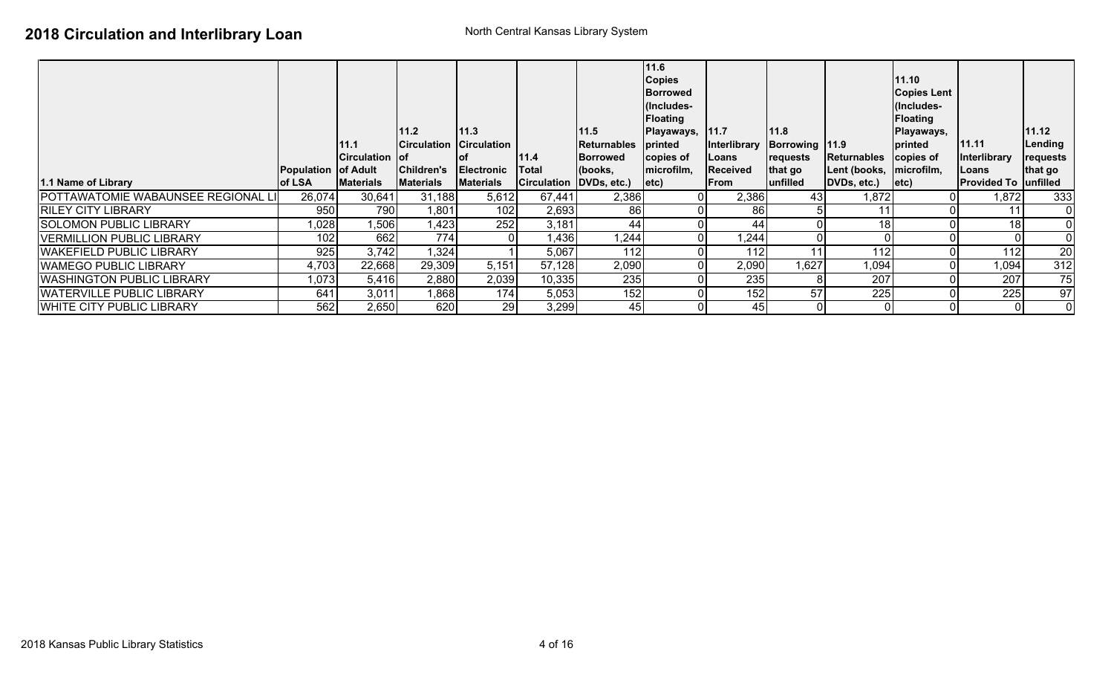|                                          |                                      |                       |                                |                                       |                                    |                        | 11.6<br><b>Copies</b><br><b>Borrowed</b> |                         |                            |                                        | 11.10<br><b>Copies Lent</b> |                                       |              |
|------------------------------------------|--------------------------------------|-----------------------|--------------------------------|---------------------------------------|------------------------------------|------------------------|------------------------------------------|-------------------------|----------------------------|----------------------------------------|-----------------------------|---------------------------------------|--------------|
|                                          |                                      |                       |                                |                                       |                                    |                        | (Includes-                               |                         |                            |                                        | (Includes-                  |                                       |              |
|                                          |                                      |                       | 111.2                          | 11.3                                  |                                    | 11.5                   | <b>Floating</b><br> Playaways,           | 11.7                    | 111.8                      |                                        | Floating<br>Playaways,      |                                       | 11.12        |
|                                          |                                      | 11.1                  |                                | Circulation Circulation               |                                    | <b>Returnables</b>     | <b>printed</b>                           | Interlibrary            | Borrowing 11.9             |                                        | printed                     | 11.11                                 | Lending      |
|                                          |                                      | <b>Circulation of</b> |                                | <b>of</b>                             | 11.4                               | <b>Borrowed</b>        | copies of                                | Loans                   | requests                   | Returnables                            | copies of                   | <b>Interlibrary</b>                   | requests     |
| 1.1 Name of Library                      | <b>Population of Adult</b><br>of LSA | <b>Materials</b>      | Children's<br><b>Materials</b> | <b>Electronic</b><br><b>Materials</b> | <b>Total</b><br><b>Circulation</b> | (books,<br>DVDs, etc.) | microfilm,<br>$ $ etc $\rangle$          | Received<br><b>From</b> | that go<br><b>unfilled</b> | Lent (books, microfilm,<br>DVDs, etc.) | letc)                       | Loans<br><b>Provided To  unfilled</b> | that go      |
| <b>POTTAWATOMIE WABAUNSEE REGIONAL L</b> | 26,074                               | 30,641                | 31,188                         | 5,612                                 | 67,441                             | 2,386                  |                                          | 2,386                   | 43 <sub>l</sub>            | 1,872                                  |                             | 1,872                                 | 333          |
| <b>RILEY CITY LIBRARY</b>                | 950                                  | 790                   | 1,801                          | 102                                   | 2,693                              | 86                     |                                          | 86                      |                            |                                        |                             | 11                                    | $\mathbf 0$  |
| <b>SOLOMON PUBLIC LIBRARY</b>            | 1,028                                | 1,506                 | 1,423                          | 252                                   | 3,181                              | 44                     |                                          | 44                      |                            | 18 <sup>l</sup>                        |                             | 18                                    | $\mathbf{0}$ |
| <b>VERMILLION PUBLIC LIBRARY</b>         | 102 <sub>1</sub>                     | 662                   | 774                            |                                       | 1,436                              | 1,244                  |                                          | 1,244                   |                            |                                        |                             |                                       | 0            |
| <b>WAKEFIELD PUBLIC LIBRARY</b>          | 925                                  | 3,742                 | 1,324                          |                                       | 5,067                              | 112                    |                                          | 112                     |                            | 112                                    |                             | 112                                   | 20           |
| <b>WAMEGO PUBLIC LIBRARY</b>             | 4,703                                | 22,668                | 29,309                         | 5,151                                 | 57,128                             | 2,090                  |                                          | 2,090                   | 1,627                      | 1,094                                  |                             | 1,094                                 | 312          |
| <b>WASHINGTON PUBLIC LIBRARY</b>         | 1,073                                | 5,416                 | 2,880                          | 2,039                                 | 10,335                             | 235                    |                                          | 235                     | 8                          | 207                                    |                             | 207                                   | 75           |
| <b>IWATERVILLE PUBLIC LIBRARY</b>        | 641                                  | 3,011                 | ,868                           | 174                                   | 5,053                              | 152                    |                                          | 152                     | 57                         | 225                                    |                             | 225                                   | 97           |
| <b>IWHITE CITY PUBLIC LIBRARY</b>        | 562                                  | 2,650                 | 620                            | 29                                    | 3,299                              | 45                     |                                          | 45                      |                            | $\Omega$                               |                             |                                       | $\mathbf{0}$ |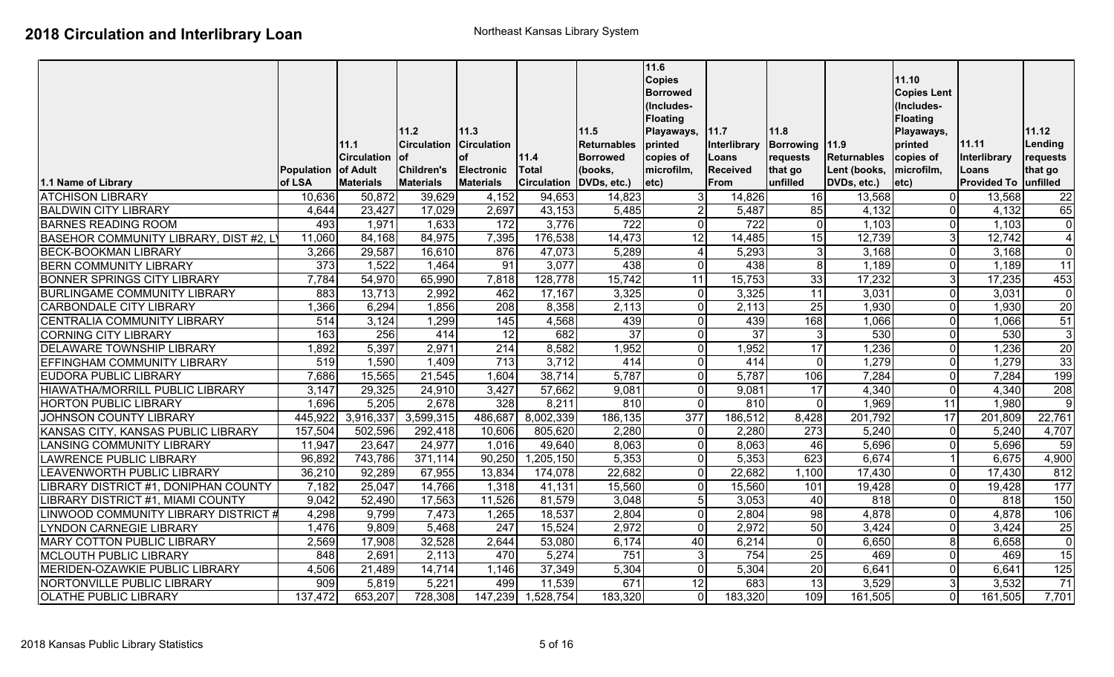|                                       |                             |                              | 11.2                                  | 11.3                           |                                           | 11.5               | 11.6<br><b>Copies</b><br><b>Borrowed</b><br>(Includes-<br><b>Floating</b><br>Playaways, | 11.7                           | 11.8                |                             | 11.10<br><b>Copies Lent</b><br>(Includes-<br><b>Floating</b><br>Playaways, |                               | 11.12           |
|---------------------------------------|-----------------------------|------------------------------|---------------------------------------|--------------------------------|-------------------------------------------|--------------------|-----------------------------------------------------------------------------------------|--------------------------------|---------------------|-----------------------------|----------------------------------------------------------------------------|-------------------------------|-----------------|
|                                       |                             | 11.1                         | <b>Circulation</b>                    | <b>Circulation</b>             |                                           | <b>Returnables</b> | printed                                                                                 | Interlibrary                   | Borrowing 11.9      |                             | printed                                                                    | 11.11                         | Lending         |
|                                       |                             | <b>ICirculation</b>          | lof                                   | οf                             | 11.4                                      | <b>Borrowed</b>    | copies of                                                                               | Loans                          | requests            | <b>Returnables</b>          | copies of                                                                  | Interlibrary                  | requests        |
| 1.1 Name of Library                   | <b>Population</b><br>of LSA | of Adult<br><b>Materials</b> | <b>Children's</b><br><b>Materials</b> | Electronic<br><b>Materials</b> | <b>Total</b><br>Circulation   DVDs, etc.) | (books,            | microfilm,<br>$ $ etc $)$                                                               | <b>Received</b><br><b>From</b> | that go<br>unfilled | Lent (books,<br>DVDs, etc.) | microfilm,<br>etc)                                                         | Loans<br>Provided To unfilled | that go         |
| <b>ATCHISON LIBRARY</b>               | 10,636                      | 50,872                       | 39,629                                | 4,152                          | 94,653                                    | 14,823             | 31                                                                                      | 14,826                         | 16                  | 13,568                      | $\Omega$                                                                   | 13,568                        | 22              |
| <b>BALDWIN CITY LIBRARY</b>           | 4,644                       | 23,427                       | 17,029                                | 2,697                          | 43,153                                    | 5,485              |                                                                                         | 5,487                          | 85                  | 4,132                       | 0                                                                          | 4,132                         | 65              |
| <b>BARNES READING ROOM</b>            | 493                         | 1,971                        | 1,633                                 | 172                            | 3,776                                     | 722                | $\Omega$                                                                                | 722                            | $\overline{0}$      | 1,103                       | 0                                                                          | 1,103                         | $\mathbf 0$     |
| BASEHOR COMMUNITY LIBRARY, DIST #2, L | 11,060                      | 84,168                       | 84,975                                | 7,395                          | 176,538                                   | 14,473             | 12                                                                                      | 14,485                         | 15                  | 12,739                      | 3                                                                          | 12,742                        | $\overline{4}$  |
| <b>BECK-BOOKMAN LIBRARY</b>           | 3,266                       | 29,587                       | 16,610                                | 876                            | 47,073                                    | 5,289              | 4                                                                                       | 5,293                          | 3 <sup>l</sup>      | 3,168                       | 0                                                                          | 3,168                         | $\mathbf 0$     |
| <b>BERN COMMUNITY LIBRARY</b>         | $\overline{373}$            | 1,522                        | 1,464                                 | 91                             | 3,077                                     | 438                | $\overline{0}$                                                                          | 438                            | 8 <sup>1</sup>      | 1,189                       | $\Omega$                                                                   | 1,189                         | 11              |
| <b>BONNER SPRINGS CITY LIBRARY</b>    | 7,784                       | 54,970                       | 65,990                                | 7,818                          | 128,778                                   | 15,742             | 11                                                                                      | 15,753                         | 33                  | 17,232                      | 3                                                                          | 17,235                        | 453             |
| <b>BURLINGAME COMMUNITY LIBRARY</b>   | 883                         | 13,713                       | 2,992                                 | 462                            | 17,167                                    | 3,325              | <sup>0</sup>                                                                            | 3,325                          | 11                  | 3,031                       | 0                                                                          | 3,031                         | $\mathbf 0$     |
| <b>CARBONDALE CITY LIBRARY</b>        | 1,366                       | 6,294                        | 1,856                                 | 208                            | 8,358                                     | 2,113              | $\overline{0}$                                                                          | 2,113                          | 25                  | 1,930                       | $\Omega$                                                                   | 1,930                         | 20              |
| <b>CENTRALIA COMMUNITY LIBRARY</b>    | 514                         | 3,124                        | 1,299                                 | 145                            | 4,568                                     | 439                | $\Omega$                                                                                | 439                            | 168                 | 1,066                       | $\Omega$                                                                   | 1,066                         | 51              |
| <b>CORNING CITY LIBRARY</b>           | 163                         | 256                          | 414                                   | $\overline{12}$                | 682                                       | 37                 | $\Omega$                                                                                | $\overline{37}$                | 3                   | 530                         | U                                                                          | 530                           | $\overline{3}$  |
| <b>DELAWARE TOWNSHIP LIBRARY</b>      | 1,892                       | 5,397                        | 2,971                                 | $\overline{214}$               | 8,582                                     | 1,952              | $\Omega$                                                                                | 1,952                          | 17                  | 1,236                       | U                                                                          | 1,236                         | $\overline{20}$ |
| <b>EFFINGHAM COMMUNITY LIBRARY</b>    | 519                         | 1,590                        | 1,409                                 | $\overline{713}$               | 3,712                                     | 414                | $\overline{0}$                                                                          | 414                            | $\Omega$            | 1,279                       | U                                                                          | 1,279                         | 33              |
| <b>EUDORA PUBLIC LIBRARY</b>          | 7,686                       | 15,565                       | 21,545                                | 1,604                          | 38,714                                    | 5,787              | $\overline{0}$                                                                          | 5,787                          | 106                 | 7,284                       | $\Omega$                                                                   | 7,284                         | 199             |
| HIAWATHA/MORRILL PUBLIC LIBRARY       | 3,147                       | 29,325                       | 24,910                                | 3,427                          | 57,662                                    | 9,081              | $\overline{0}$                                                                          | 9,081                          | 17                  | 4,340                       | $\Omega$                                                                   | 4,340                         | 208             |
| <b>HORTON PUBLIC LIBRARY</b>          | 1,696                       | 5,205                        | 2,678                                 | 328                            | 8,211                                     | 810                | $\Omega$                                                                                | 810                            | $\overline{0}$      | 1,969                       | 11                                                                         | 1,980                         | $9\,$           |
| JOHNSON COUNTY LIBRARY                | 445,922                     | 3,916,337                    | 3,599,315                             | 486,687                        | 8,002,339                                 | 186,135            | $\overline{377}$                                                                        | 186,512                        | 8,428               | 201,792                     | 17                                                                         | 201,809                       | 22,761          |
| KANSAS CITY, KANSAS PUBLIC LIBRARY    | 157,504                     | 502,596                      | 292,418                               | 10,606                         | 805,620                                   | 2,280              | 0                                                                                       | 2,280                          | $\overline{273}$    | 5,240                       | $\Omega$                                                                   | 5,240                         | 4,707           |
| <b>LANSING COMMUNITY LIBRARY</b>      | 11,947                      | 23,647                       | 24,977                                | 1,016                          | 49,640                                    | 8,063              | $\Omega$                                                                                | 8,063                          | 46                  | 5,696                       | $\Omega$                                                                   | 5,696                         | 59              |
| <b>LAWRENCE PUBLIC LIBRARY</b>        | 96,892                      | 743,786                      | 371,114                               | 90,250                         | 1,205,150                                 | 5,353              | $\Omega$                                                                                | 5,353                          | 623                 | 6,674                       |                                                                            | 6,675                         | 4,900           |
| LEAVENWORTH PUBLIC LIBRARY            | 36,210                      | 92,289                       | 67,955                                | 13,834                         | 174,078                                   | 22,682             | $\Omega$                                                                                | 22,682                         | 1,100               | 17,430                      | 0                                                                          | 17,430                        | 812             |
| IBRARY DISTRICT #1, DONIPHAN COUNTY   | 7,182                       | 25,047                       | 14,766                                | 1,318                          | 41,131                                    | 15,560             | $\Omega$                                                                                | 15,560                         | 101                 | 19,428                      | 0                                                                          | 19,428                        | 177             |
| IBRARY DISTRICT #1, MIAMI COUNTY      | 9,042                       | $\overline{52,}490$          | 17,563                                | 11,526                         | $\overline{81,579}$                       | 3,048              | 5 <sup>1</sup>                                                                          | 3,053                          | 40                  | 818                         | $\Omega$                                                                   | 818                           | 150             |
| INWOOD COMMUNITY LIBRARY DISTRICT #   | 4,298                       | 9,799                        | 7,473                                 | 1,265                          | 18,537                                    | 2,804              | $\Omega$                                                                                | 2,804                          | 98                  | 4,878                       | $\Omega$                                                                   | 4,878                         | 106             |
| <b>LYNDON CARNEGIE LIBRARY</b>        | 1,476                       | 9,809                        | 5,468                                 | 247                            | 15,524                                    | 2,972              | $\Omega$                                                                                | 2,972                          | 50                  | 3,424                       | $\Omega$                                                                   | 3,424                         | 25              |
| <b>MARY COTTON PUBLIC LIBRARY</b>     | 2,569                       | 17,908                       | 32,528                                | 2,644                          | 53,080                                    | 6,174              | 40                                                                                      | 6,214                          | $\Omega$            | 6,650                       | 8                                                                          | 6,658                         | $\overline{0}$  |
| <b>MCLOUTH PUBLIC LIBRARY</b>         | 848                         | 2,691                        | 2,113                                 | 470                            | 5,274                                     | 751                | 31                                                                                      | 754                            | 25                  | 469                         | $\Omega$                                                                   | 469                           | 15              |
| MERIDEN-OZAWKIE PUBLIC LIBRARY        | 4,506                       | 21,489                       | 14,714                                | 1,146                          | 37,349                                    | 5,304              | $\Omega$                                                                                | 5,304                          | 20                  | 6,641                       | $\Omega$                                                                   | 6,641                         | 125             |
| NORTONVILLE PUBLIC LIBRARY            | $\overline{909}$            | 5,819                        | 5,221                                 | 499                            | 11,539                                    | 671                | 12                                                                                      | 683                            | 13                  | 3,529                       | $\overline{3}$                                                             | 3,532                         | $\overline{71}$ |
| <b>OLATHE PUBLIC LIBRARY</b>          | 137,472                     | 653,207                      | 728,308                               | 147,239                        | 1,528,754                                 | 183,320            | $\Omega$                                                                                | 183,320                        | 109                 | 161,505                     | $\overline{0}$                                                             | 161,505                       | 7,701           |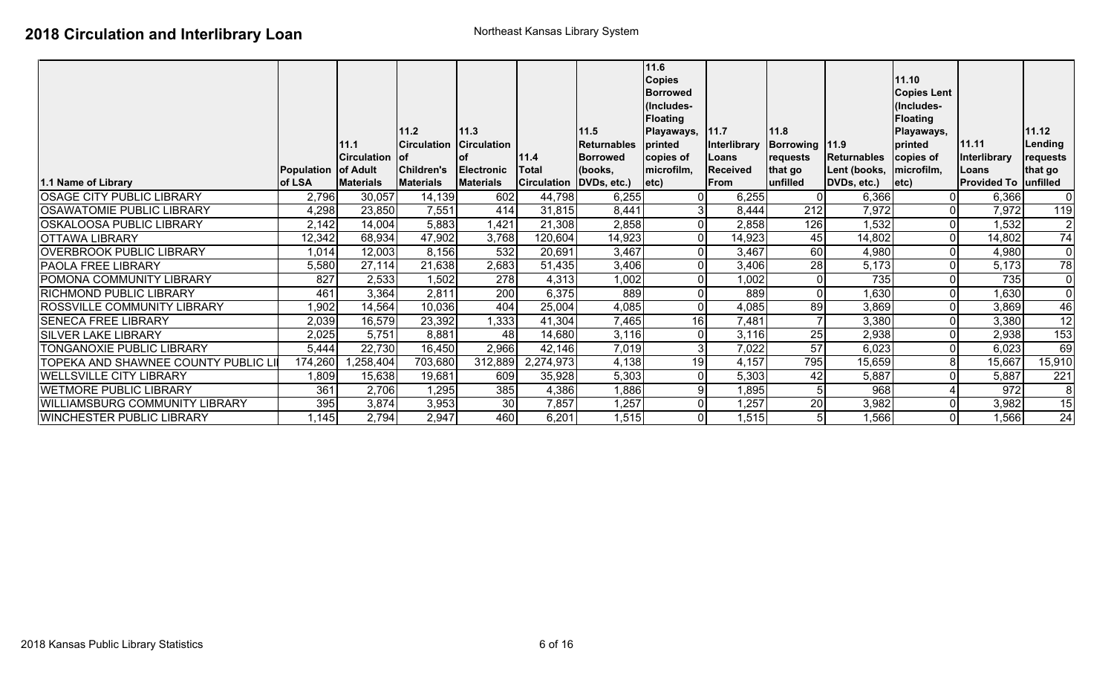|                                       |                   | 11.1             | 11.2<br><b>Circulation</b> | 11.3<br><b>Circulation</b> |                         | 11.5<br>Returnables | 11.6<br><b>Copies</b><br><b>Borrowed</b><br>(Includes-<br><b>Floating</b><br>Playaways,<br>printed | 11.7<br>Interlibrary | 11.8<br>Borrowing   11.9 |                           | 11.10<br><b>Copies Lent</b><br>(Includes-<br><b>Floating</b><br>Playaways,<br>printed | 11.11                       | 11.12<br>Lending |
|---------------------------------------|-------------------|------------------|----------------------------|----------------------------|-------------------------|---------------------|----------------------------------------------------------------------------------------------------|----------------------|--------------------------|---------------------------|---------------------------------------------------------------------------------------|-----------------------------|------------------|
|                                       |                   | Circulation of   |                            | lof                        | 11.4                    | <b>Borrowed</b>     | copies of                                                                                          | Loans                | requests                 | Returnables               | copies of                                                                             | Interlibrary                | requests         |
|                                       | <b>Population</b> | <b>of Adult</b>  | <b>Children's</b>          | <b>Electronic</b>          | Total                   | (books,             | microfilm,                                                                                         | <b>Received</b>      | that go                  | Lent (books,   microfilm, |                                                                                       | <b>ILoans</b>               | that go          |
| 1.1 Name of Library                   | of LSA            | <b>Materials</b> | <b>Materials</b>           | <b>Materials</b>           | Circulation DVDs, etc.) |                     | letc)                                                                                              | <b>From</b>          | lunfilled                | DVDs, etc.)               | letc)                                                                                 | <b>Provided To unfilled</b> |                  |
| <b>OSAGE CITY PUBLIC LIBRARY</b>      | 2,796             | 30,057           | 14,139                     | 602                        | 44,798                  | 6,255               |                                                                                                    | 6,255                | 01                       | 6,366                     | 01                                                                                    | 6,366                       | $\overline{0}$   |
| <b>OSAWATOMIE PUBLIC LIBRARY</b>      | 4,298             | 23,850           | 7,551                      | 414                        | 31,815                  | 8,441               |                                                                                                    | 8,444                | 212                      | 7,972                     | 01                                                                                    | 7,972                       | 119              |
| <b>OSKALOOSA PUBLIC LIBRARY</b>       | 2,142             | 14,004           | 5,883                      | 1,421                      | 21,308                  | 2,858               |                                                                                                    | 2,858                | 126                      | 1,532                     | 01                                                                                    | 1,532                       | $\overline{2}$   |
| <b>OTTAWA LIBRARY</b>                 | 12,342            | 68,934           | 47,902                     | 3,768                      | 120,604                 | 14,923              |                                                                                                    | 14,923               | 45                       | 14,802                    | 01                                                                                    | 14,802                      | $\overline{74}$  |
| <b>OVERBROOK PUBLIC LIBRARY</b>       | 1,014             | 12,003           | 8,156                      | 532                        | 20,691                  | 3,467               |                                                                                                    | 3,467                | 60                       | 4,980                     | 01                                                                                    | 4,980                       | $\mathbf 0$      |
| <b>PAOLA FREE LIBRARY</b>             | 5,580             | 27,114           | 21,638                     | 2,683                      | 51,435                  | 3,406               |                                                                                                    | 3,406                | 28                       | 5,173                     | οI                                                                                    | 5,173                       | $\overline{78}$  |
| POMONA COMMUNITY LIBRARY              | 827               | 2,533            | 1,502                      | 278                        | 4,313                   | 1,002               |                                                                                                    | 1,002                | $\overline{0}$           | 735                       | 01                                                                                    | 735                         | $\overline{0}$   |
| <b>RICHMOND PUBLIC LIBRARY</b>        | 461               | 3,364            | 2,811                      | 200                        | 6,375                   | 889                 |                                                                                                    | 889                  | $\overline{0}$           | 1,630                     | 01                                                                                    | 1,630                       | $\mathbf 0$      |
| <b>ROSSVILLE COMMUNITY LIBRARY</b>    | 1,902             | 14,564           | 10,036                     | 404                        | 25,004                  | 4,085               |                                                                                                    | 4,085                | 89                       | 3,869                     | 01                                                                                    | 3,869                       | 46               |
| <b>SENECA FREE LIBRARY</b>            | 2,039             | 16,579           | 23,392                     | 1,333                      | 41,304                  | 7,465               | 16                                                                                                 | 7,481                | $\overline{7}$           | 3,380                     | 01                                                                                    | 3,380                       | 12               |
| <b>SILVER LAKE LIBRARY</b>            | 2,025             | 5,751            | 8,881                      | 48                         | 14,680                  | 3,116               |                                                                                                    | 3,116                | 25                       | 2,938                     | Οl                                                                                    | 2,938                       | $\overline{153}$ |
| TONGANOXIE PUBLIC LIBRARY             | 5,444             | 22,730           | 16,450                     | 2,966                      | 42,146                  | 7,019               |                                                                                                    | 7,022                | 57                       | 6,023                     | οI                                                                                    | 6,023                       | 69               |
| TOPEKA AND SHAWNEE COUNTY PUBLIC LI   | 174,260           | ,258,404         | 703,680                    | 312,889                    | 2,274,973               | 4,138               | 19                                                                                                 | 4,157                | 795                      | 15,659                    | 8                                                                                     | 15,667                      | 15,910           |
| <b>WELLSVILLE CITY LIBRARY</b>        | 1,809             | 15,638           | 19,681                     | 609                        | 35,928                  | 5,303               |                                                                                                    | 5,303                | 42                       | 5,887                     | 01                                                                                    | 5,887                       | 221              |
| <b>WETMORE PUBLIC LIBRARY</b>         | 361               | 2,706            | 1,295                      | 385                        | 4,386                   | 1,886               |                                                                                                    | 1,895                | 5 <sub>l</sub>           | 968                       |                                                                                       | 972                         | 8                |
| <b>WILLIAMSBURG COMMUNITY LIBRARY</b> | 395               | 3,874            | 3,953                      | 30                         | 7,857                   | 1,257               |                                                                                                    | 1,257                | 20                       | 3,982                     | 01                                                                                    | 3,982                       | 15               |
| <b>WINCHESTER PUBLIC LIBRARY</b>      | 1,145             | 2,794            | 2,947                      | 460                        | 6,201                   | 1,515               |                                                                                                    | 1,515                | 5 <sub>l</sub>           | 1,566                     | Οl                                                                                    | 1,566                       | $\overline{24}$  |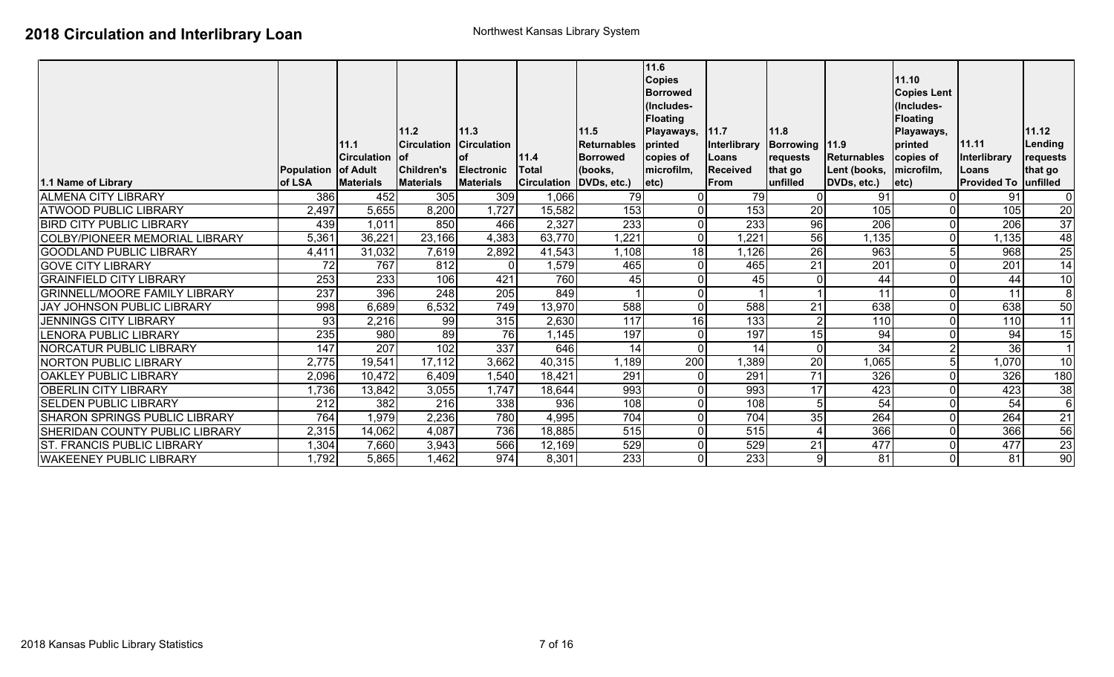| 1.1 Name of Library                   | Population of Adult<br>of LSA | 11.1<br><b>Circulation</b><br><b>Materials</b> | 111.2<br><b>Circulation</b><br><b>lof</b><br>Children's<br><b>Materials</b> | 11.3<br><b>Circulation</b><br><b>of</b><br><b>Electronic</b><br><b>Materials</b> | 11.4<br>Total<br><b>Circulation</b> | 11.5<br>Returnables<br>Borrowed<br>(books,<br>DVDs, etc.) | 11.6<br><b>Copies</b><br><b>Borrowed</b><br>(Includes-<br><b>Floating</b><br>Playaways,<br>printed<br>copies of<br>microfilm,<br>$ $ etc $ $ | 11.7<br>Interlibrary<br>Loans<br><b>Received</b><br><b>From</b> | 11.8<br>Borrowing 11.9<br>requests<br>that go<br>lunfilled | <b>Returnables</b><br>Lent (books,   microfilm,<br>DVDs, etc.) | 11.10<br><b>Copies Lent</b><br>(Includes-<br><b>Floating</b><br>Playaways,<br>printed<br>copies of<br>$ $ etc $ $ | 11.11<br>Interlibrary<br>Loans<br><b>Provided To unfilled</b> | 11.12<br>Lending<br>requests<br>that go |
|---------------------------------------|-------------------------------|------------------------------------------------|-----------------------------------------------------------------------------|----------------------------------------------------------------------------------|-------------------------------------|-----------------------------------------------------------|----------------------------------------------------------------------------------------------------------------------------------------------|-----------------------------------------------------------------|------------------------------------------------------------|----------------------------------------------------------------|-------------------------------------------------------------------------------------------------------------------|---------------------------------------------------------------|-----------------------------------------|
| <b>ALMENA CITY LIBRARY</b>            | 386                           | 452                                            | 305                                                                         | 309                                                                              | 1,066                               | 79                                                        |                                                                                                                                              | 79                                                              |                                                            | 91                                                             |                                                                                                                   | 91                                                            | $\mathbf 0$                             |
| <b>ATWOOD PUBLIC LIBRARY</b>          | 2,497                         | 5,655                                          | 8,200                                                                       | 1,727                                                                            | 15,582                              | 153                                                       |                                                                                                                                              | 153                                                             | 20                                                         | 105                                                            | $\mathbf 0$                                                                                                       | 105                                                           | $\overline{20}$                         |
| <b>BIRD CITY PUBLIC LIBRARY</b>       | 439                           | 1,011                                          | 850                                                                         | 466                                                                              | 2,327                               | 233                                                       |                                                                                                                                              | 233                                                             | 96                                                         | 206                                                            | $\overline{0}$                                                                                                    | 206                                                           | 37                                      |
| <b>COLBY/PIONEER MEMORIAL LIBRARY</b> | 5,361                         | 36,221                                         | 23,166                                                                      | 4,383                                                                            | 63,770                              | 1,221                                                     |                                                                                                                                              | 1,221                                                           | 56                                                         | ,135                                                           | $\overline{0}$                                                                                                    | ,135                                                          | $\overline{48}$                         |
| <b>GOODLAND PUBLIC LIBRARY</b>        | 4,411                         | 31,032                                         | 7,619                                                                       | 2,892                                                                            | 41,543                              | 1,108                                                     | 18                                                                                                                                           | 1,126                                                           | 26                                                         | 963                                                            | 5 <sub>l</sub>                                                                                                    | 968                                                           | $\overline{25}$                         |
| <b>GOVE CITY LIBRARY</b>              | 72                            | 767                                            | 812                                                                         | $\overline{0}$                                                                   | 1,579                               | 465                                                       |                                                                                                                                              | 465                                                             | 21                                                         | $\overline{201}$                                               | $\overline{0}$                                                                                                    | 201                                                           | $\overline{14}$                         |
| <b>GRAINFIELD CITY LIBRARY</b>        | 253                           | 233                                            | 106                                                                         | 421                                                                              | 760                                 | 45                                                        |                                                                                                                                              | 45                                                              | $\overline{0}$                                             | 44                                                             | $\overline{0}$                                                                                                    | 44                                                            | 10                                      |
| <b>GRINNELL/MOORE FAMILY LIBRARY</b>  | 237                           | 396                                            | 248                                                                         | 205                                                                              | 849                                 |                                                           |                                                                                                                                              |                                                                 | $\blacktriangleleft$                                       | 11                                                             | $\overline{0}$                                                                                                    | 11                                                            | $\overline{8}$                          |
| <b>JAY JOHNSON PUBLIC LIBRARY</b>     | 998                           | 6,689                                          | 6,532                                                                       | 749                                                                              | 13,970                              | 588                                                       |                                                                                                                                              | 588                                                             | $\overline{21}$                                            | 638                                                            | $\overline{0}$                                                                                                    | 638                                                           | 50                                      |
| <b>JENNINGS CITY LIBRARY</b>          | 93                            | 2,216                                          | 99                                                                          | 315                                                                              | 2,630                               | 117                                                       | 16                                                                                                                                           | 133                                                             | $\overline{2}$                                             | 110                                                            | $\overline{0}$                                                                                                    | 110                                                           | 11                                      |
| <b>LENORA PUBLIC LIBRARY</b>          | 235                           | 980                                            | 89                                                                          | 76                                                                               | 1,145                               | 197                                                       |                                                                                                                                              | 197                                                             | 15                                                         | 94                                                             | $\overline{0}$                                                                                                    | 94                                                            | $\overline{15}$                         |
| <b>NORCATUR PUBLIC LIBRARY</b>        | $\overline{147}$              | $\overline{207}$                               | 102                                                                         | 337                                                                              | 646                                 | 14                                                        |                                                                                                                                              | 14                                                              | $\overline{0}$                                             | 34                                                             | $\overline{2}$                                                                                                    | $\overline{36}$                                               | $\overline{\mathbf{1}}$                 |
| <b>NORTON PUBLIC LIBRARY</b>          | 2,775                         | 19,541                                         | 17,112                                                                      | 3,662                                                                            | 40,315                              | 1,189                                                     | 200                                                                                                                                          | 1,389                                                           | 20                                                         | 1,065                                                          | 5                                                                                                                 | 1,070                                                         | $\overline{10}$                         |
| <b>OAKLEY PUBLIC LIBRARY</b>          | 2,096                         | 10,472                                         | 6,409                                                                       | 1,540                                                                            | 18,421                              | 291                                                       |                                                                                                                                              | 291                                                             | 71                                                         | 326                                                            | $\overline{0}$                                                                                                    | 326                                                           | 180                                     |
| <b>OBERLIN CITY LIBRARY</b>           | 1,736                         | 13,842                                         | 3,055                                                                       | 1,747                                                                            | 18,644                              | 993                                                       |                                                                                                                                              | 993                                                             | 17                                                         | 423                                                            | $\pmb{0}$                                                                                                         | 423                                                           | 38                                      |
| <b>SELDEN PUBLIC LIBRARY</b>          | 212                           | 382                                            | 216                                                                         | 338                                                                              | 936                                 | 108                                                       |                                                                                                                                              | 108                                                             | 5 <sub>l</sub>                                             | 54                                                             | $\overline{0}$                                                                                                    | 54                                                            | $\overline{6}$                          |
| <b>SHARON SPRINGS PUBLIC LIBRARY</b>  | 764                           | 1,979                                          | 2,236                                                                       | 780                                                                              | 4,995                               | 704                                                       |                                                                                                                                              | 704                                                             | 35                                                         | 264                                                            | $\overline{0}$                                                                                                    | 264                                                           | 21                                      |
| <b>SHERIDAN COUNTY PUBLIC LIBRARY</b> | 2,315                         | 14,062                                         | 4,087                                                                       | 736                                                                              | 18,885                              | 515                                                       |                                                                                                                                              | 515                                                             | $\overline{4}$                                             | 366                                                            | $\overline{0}$                                                                                                    | 366                                                           | 56                                      |
| <b>ST. FRANCIS PUBLIC LIBRARY</b>     | 1,304                         | 7,660                                          | 3,943                                                                       | 566                                                                              | 12,169                              | 529                                                       |                                                                                                                                              | 529                                                             | 21                                                         | 477                                                            | $\overline{0}$                                                                                                    | 477                                                           | $\overline{23}$                         |
| <b>WAKEENEY PUBLIC LIBRARY</b>        | 1,792                         | 5,865                                          | 1,462                                                                       | 974                                                                              | 8,301                               | 233                                                       |                                                                                                                                              | $\overline{233}$                                                | 9                                                          | 81                                                             | $\overline{0}$                                                                                                    | 81                                                            | 90                                      |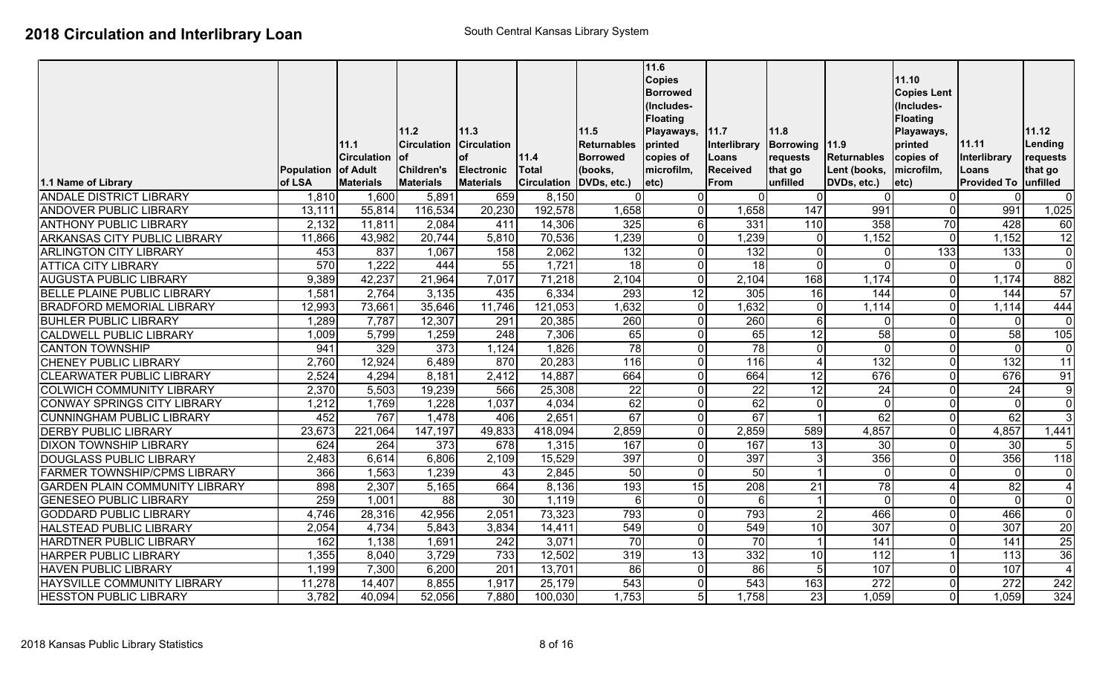|                                       |                   |                    |                            |                            |              |                     | 11.6<br><b>Copies</b><br><b>Borrowed</b><br>(Includes-<br><b>Floating</b> |                      |                        |                  | 11.10<br><b>Copies Lent</b><br>(Includes-<br><b>Floating</b> |                    |                  |
|---------------------------------------|-------------------|--------------------|----------------------------|----------------------------|--------------|---------------------|---------------------------------------------------------------------------|----------------------|------------------------|------------------|--------------------------------------------------------------|--------------------|------------------|
|                                       |                   | 11.1               | 11.2<br><b>Circulation</b> | 11.3<br><b>Circulation</b> |              | 11.5<br>Returnables | Playaways,<br>printed                                                     | 11.7<br>Interlibrary | 11.8<br>Borrowing 11.9 |                  | Playaways,<br>printed                                        | 11.11              | 11.12<br>Lending |
|                                       |                   | <b>Circulation</b> | lof                        | <b>of</b>                  | 11.4         | <b>Borrowed</b>     | copies of                                                                 | Loans                | requests               | Returnables      | copies of                                                    | Interlibrary       | requests         |
|                                       | <b>Population</b> | of Adult           | <b>Children's</b>          | <b>Electronic</b>          | <b>Total</b> | (books,             | microfilm,                                                                | <b>Received</b>      | that go                | Lent (books,     | microfilm,                                                   | Loans              | that go          |
| 1.1 Name of Library                   | of LSA            | <b>Materials</b>   | <b>Materials</b>           | <b>Materials</b>           | Circulation  | DVDs, etc.)         | letc)                                                                     | From                 | unfilled               | DVDs, etc.)      | etc)                                                         | <b>Provided To</b> | unfilled         |
| <b>ANDALE DISTRICT LIBRARY</b>        | 1,810             | 1,600              | 5,891                      | 659                        | 8,150        | $\Omega$            |                                                                           | $\Omega$             | $\Omega$               |                  | $\Omega$                                                     |                    | $\mathbf 0$      |
| <b>ANDOVER PUBLIC LIBRARY</b>         | 13,111            | 55,814             | 116,534                    | 20,230                     | 192,578      | 1,658               | $\Omega$                                                                  | 1,658                | 147                    | 991              | $\overline{0}$                                               | 991                | 1,025            |
| <b>ANTHONY PUBLIC LIBRARY</b>         | 2,132             | 11,811             | 2,084                      | 411                        | 14,306       | 325                 | 6                                                                         | 331                  | 110                    | 358              | 70                                                           | 428                | 60               |
| <b>ARKANSAS CITY PUBLIC LIBRARY</b>   | 11,866            | 43,982             | 20,744                     | 5,810                      | 70,536       | 1,239               | $\Omega$                                                                  | 1,239                | $\overline{0}$         | 1,152            | $\Omega$                                                     | 1,152              | $\overline{12}$  |
| <b>ARLINGTON CITY LIBRARY</b>         | 453               | 837                | 1,067                      | 158                        | 2,062        | 132                 | $\Omega$                                                                  | 132                  | $\overline{0}$         | $\Omega$         | $\overline{133}$                                             | 133                | $\overline{0}$   |
| <b>ATTICA CITY LIBRARY</b>            | 570               | 1,222              | 444                        | 55                         | 1,721        | 18                  |                                                                           | $\overline{18}$      | $\overline{0}$         | $\Omega$         | $\overline{0}$                                               | $\Omega$           | $\overline{0}$   |
| <b>AUGUSTA PUBLIC LIBRARY</b>         | 9,389             | 42,237             | 21,964                     | 7,017                      | 71,218       | 2,104               | $\Omega$                                                                  | 2,104                | 168                    | 1,174            | $\overline{0}$                                               | 1,174              | 882              |
| <b>BELLE PLAINE PUBLIC LIBRARY</b>    | 1,581             | 2,764              | 3,135                      | 435                        | 6,334        | 293                 | 12                                                                        | 305                  | 16                     | 144              | $\overline{0}$                                               | 144                | 57               |
| <b>BRADFORD MEMORIAL LIBRARY</b>      | 12,993            | 73,661             | 35,646                     | 11,746                     | 121,053      | 1,632               | $\Omega$                                                                  | 1,632                | $\overline{0}$         | 1,114            | $\overline{0}$                                               | 1,114              | 444              |
| <b>BUHLER PUBLIC LIBRARY</b>          | 1,289             | 7,787              | 12,307                     | 291                        | 20,385       | 260                 | $\Omega$                                                                  | 260                  | $6 \mid$               | $\Omega$         | $\overline{0}$                                               | $\Omega$           | $\mathbf 0$      |
| <b>CALDWELL PUBLIC LIBRARY</b>        | 1,009             | 5,799              | 1,259                      | $\overline{248}$           | 7,306        | 65                  |                                                                           | 65                   | 12                     | 58               | $\overline{0}$                                               | 58                 | 105              |
| <b>CANTON TOWNSHIP</b>                | 941               | 329                | $\overline{373}$           | 1,124                      | 1,826        | 78                  |                                                                           | $\overline{78}$      | $\overline{0}$         | $\mathbf{0}$     | $\overline{0}$                                               | $\Omega$           | $\mathbf 0$      |
| <b>CHENEY PUBLIC LIBRARY</b>          | 2,760             | 12,924             | 6,489                      | 870                        | 20,283       | 116                 |                                                                           | 116                  | $\overline{4}$         | $\overline{132}$ | 0                                                            | $\overline{132}$   | 11               |
| <b>CLEARWATER PUBLIC LIBRARY</b>      | 2,524             | 4,294              | 8,181                      | 2,412                      | 14,887       | 664                 |                                                                           | 664                  | 12                     | 676              | $\overline{0}$                                               | 676                | 91               |
| <b>COLWICH COMMUNITY LIBRARY</b>      | 2,370             | 5,503              | 19,239                     | 566                        | 25,308       | 22                  |                                                                           | $\overline{22}$      | 12                     | 24               | 0                                                            | 24                 | 9                |
| <b>CONWAY SPRINGS CITY LIBRARY</b>    | 1,212             | 1,769              | 1,228                      | 1,037                      | 4,034        | 62                  | $\Omega$                                                                  | 62                   | 0                      | $\overline{0}$   | $\overline{0}$                                               | $\mathbf 0$        | $\overline{0}$   |
| <b>CUNNINGHAM PUBLIC LIBRARY</b>      | 452               | 767                | 1,478                      | 406                        | 2,651        | 67                  | $\Omega$                                                                  | 67                   | $\overline{1}$         | 62               | $\overline{0}$                                               | 62                 | $\overline{3}$   |
| <b>DERBY PUBLIC LIBRARY</b>           | 23,673            | 221,064            | 147,197                    | 49,833                     | 418,094      | 2,859               | $\Omega$                                                                  | 2,859                | 589                    | 4,857            | $\overline{0}$                                               | 4,857              | 1,441            |
| <b>DIXON TOWNSHIP LIBRARY</b>         | 624               | 264                | 373                        | 678                        | 1,315        | 167                 | $\Omega$                                                                  | 167                  | 13                     | 30               | $\overline{0}$                                               | 30                 | 5                |
| <b>DOUGLASS PUBLIC LIBRARY</b>        | 2,483             | 6,614              | 6,806                      | 2,109                      | 15,529       | 397                 |                                                                           | 397                  | 3                      | 356              | $\overline{0}$                                               | 356                | 118              |
| <b>FARMER TOWNSHIP/CPMS LIBRARY</b>   | 366               | 1,563              | 1,239                      | 43                         | 2,845        | 50                  | $\Omega$                                                                  | 50                   | $\vert$ 1              | 0                | $\overline{0}$                                               | $\mathbf{0}$       | $\mathbf 0$      |
| <b>GARDEN PLAIN COMMUNITY LIBRARY</b> | 898               | 2,307              | 5,165                      | 664                        | 8,136        | 193                 | 15                                                                        | 208                  | $\overline{21}$        | 78               | Δ                                                            | 82                 | 4                |
| <b>GENESEO PUBLIC LIBRARY</b>         | 259               | 1,001              | $\overline{88}$            | 30                         | 1,119        | 6 <sup>1</sup>      | $\Omega$                                                                  | 6                    | $\mathbf{1}$           | $\Omega$         | $\overline{0}$                                               | $\Omega$           | $\mathbf 0$      |
| <b>GODDARD PUBLIC LIBRARY</b>         | 4,746             | 28,316             | 42,956                     | 2,051                      | 73,323       | 793                 |                                                                           | 793                  | $\overline{2}$         | 466              | $\overline{0}$                                               | 466                | $\Omega$         |
| <b>HALSTEAD PUBLIC LIBRARY</b>        | 2,054             | 4,734              | 5,843                      | 3,834                      | 14,411       | 549                 |                                                                           | 549                  | 10                     | 307              | $\Omega$                                                     | 307                | 20               |
| HARDTNER PUBLIC LIBRARY               | 162               | 1,138              | 1,691                      | 242                        | 3,071        | 70                  | $\Omega$                                                                  | 70                   | $\mathbf{1}$           | 141              | 0                                                            | 141                | $\overline{25}$  |
| <b>HARPER PUBLIC LIBRARY</b>          | 1,355             | 8,040              | 3,729                      | 733                        | 12,502       | $\overline{319}$    | 13                                                                        | 332                  | 10                     | 112              |                                                              | 113                | 36               |
| <b>HAVEN PUBLIC LIBRARY</b>           | 1,199             | 7,300              | 6,200                      | $\overline{201}$           | 13,701       | 86                  | $\Omega$                                                                  | $\overline{86}$      | 5 <sub>l</sub>         | 107              | $\overline{0}$                                               | 107                | $\overline{4}$   |
| <b>HAYSVILLE COMMUNITY LIBRARY</b>    | 11,278            | 14,407             | 8,855                      | 1,917                      | 25,179       | $\overline{543}$    |                                                                           | 543                  | 163                    | 272              | 0                                                            | $\overline{272}$   | 242              |
| <b>HESSTON PUBLIC LIBRARY</b>         | 3,782             | 40,094             | 52,056                     | 7,880                      | 100,030      | 1,753               | 5 <sup>1</sup>                                                            | 1,758                | 23                     | 1,059            | $\overline{0}$                                               | 1,059              | 324              |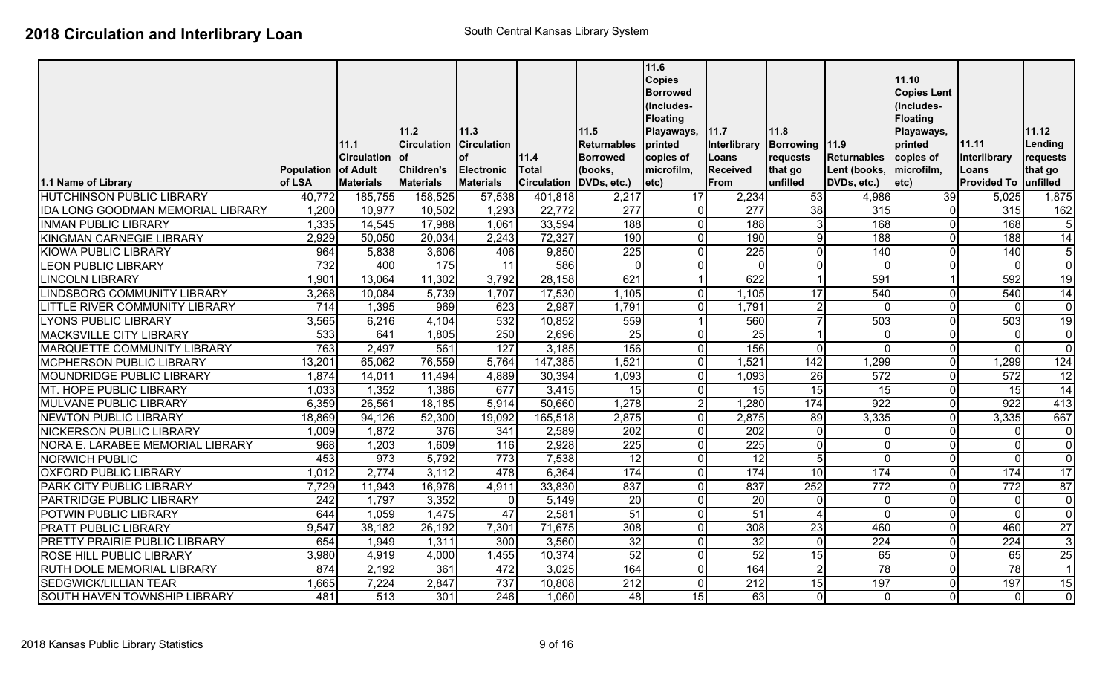|                                          |                   |                     |                            |                            |                         |                            | 11.6<br><b>Copies</b> |                      |                         |                    | 11.10                 |                      |                  |
|------------------------------------------|-------------------|---------------------|----------------------------|----------------------------|-------------------------|----------------------------|-----------------------|----------------------|-------------------------|--------------------|-----------------------|----------------------|------------------|
|                                          |                   |                     |                            |                            |                         |                            | <b>Borrowed</b>       |                      |                         |                    | <b>Copies Lent</b>    |                      |                  |
|                                          |                   |                     |                            |                            |                         |                            | (Includes-            |                      |                         |                    | (Includes-            |                      |                  |
|                                          |                   |                     |                            |                            |                         |                            | <b>Floating</b>       |                      |                         |                    | <b>Floating</b>       |                      |                  |
|                                          |                   | 11.1                | 11.2<br><b>Circulation</b> | 11.3<br><b>Circulation</b> |                         | 11.5<br><b>Returnables</b> | Playaways,<br>printed | 11.7<br>Interlibrary | 11.8<br>Borrowing 11.9  |                    | Playaways,<br>printed | 11.11                | 11.12<br>Lending |
|                                          |                   | <b>ICirculation</b> | lof                        | lof                        | 11.4                    | <b>Borrowed</b>            | copies of             | Loans                | requests                | <b>Returnables</b> | copies of             | Interlibrary         | requests         |
|                                          | <b>Population</b> | of Adult            | <b>Children's</b>          | Electronic                 | <b>Total</b>            | (books,                    | microfilm,            | <b>Received</b>      | that go                 | Lent (books,       | microfilm,            | Loans                | that go          |
| 1.1 Name of Library                      | of LSA            | <b>Materials</b>    | <b>Materials</b>           | <b>Materials</b>           | Circulation DVDs, etc.) |                            | etc)                  | From                 | unfilled                | DVDs, etc.)        | $ $ etc $ $           | Provided To unfilled |                  |
| <b>HUTCHINSON PUBLIC LIBRARY</b>         | 40,772            | 185,755             | 158,525                    | 57,538                     | 401,818                 | 2,217                      | 17                    | 2,234                | 53                      | 4,986              | 39                    | 5,025                | 1,875            |
| <b>IDA LONG GOODMAN MEMORIAL LIBRARY</b> | 1,200             | 10,977              | 10,502                     | 1,293                      | 22,772                  | 277                        | $\Omega$              | $\overline{277}$     | 38                      | 315                | n                     | 315                  | 162              |
| <b>INMAN PUBLIC LIBRARY</b>              | 1,335             | 14,545              | 17,988                     | 1,061                      | 33,594                  | 188                        | $\Omega$              | 188                  | 3                       | 168                | U                     | 168                  | $\sqrt{5}$       |
| <b>KINGMAN CARNEGIE LIBRARY</b>          | 2,929             | 50,050              | 20,034                     | 2,243                      | 72,327                  | 190                        | $\Omega$              | 190                  | 9 <sub>l</sub>          | 188                | U                     | 188                  | $\overline{14}$  |
| <b>KIOWA PUBLIC LIBRARY</b>              | 964               | 5,838               | 3,606                      | 406                        | 9,850                   | $\overline{225}$           | ΩI                    | $\overline{225}$     | $\Omega$                | 140                | U                     | 140                  | $\sqrt{5}$       |
| <b>LEON PUBLIC LIBRARY</b>               | 732               | 400                 | 175                        | 11                         | 586                     | $\Omega$                   | $\Omega$              | $\Omega$             | $\Omega$                | $\Omega$           | 0                     | $\mathbf 0$          | $\mathbf{0}$     |
| <b>LINCOLN LIBRARY</b>                   | 1,901             | 13,064              | 11,302                     | 3,792                      | 28,158                  | 621                        |                       | 622                  |                         | 591                |                       | 592                  | 19               |
| LINDSBORG COMMUNITY LIBRARY              | 3,268             | 10,084              | 5,739                      | 1,707                      | 17,530                  | 1,105                      | $\Omega$              | 1,105                | 17                      | 540                |                       | 540                  | 14               |
| LITTLE RIVER COMMUNITY LIBRARY           | 714               | 1,395               | 969                        | 623                        | 2,987                   | 1,791                      | $\Omega$              | 1,791                | $\overline{2}$          | $\overline{0}$     | 0                     | $\Omega$             | $\overline{0}$   |
| <b>LYONS PUBLIC LIBRARY</b>              | 3,565             | 6,216               | 4,104                      | 532                        | 10,852                  | 559                        |                       | 560                  |                         | 503                | $\Omega$              | 503                  | 19               |
| <b>MACKSVILLE CITY LIBRARY</b>           | 533               | 641                 | 1,805                      | 250                        | 2,696                   | 25                         | ΩI                    | 25                   |                         | $\Omega$           | U                     | $\mathbf{0}$         | $\mathbf 0$      |
| <b>MARQUETTE COMMUNITY LIBRARY</b>       | 763               | 2,497               | 561                        | 127                        | 3,185                   | 156                        | $\Omega$              | 156                  | $\Omega$                | $\Omega$           | U                     | $\Omega$             | $\overline{0}$   |
| <b>MCPHERSON PUBLIC LIBRARY</b>          | 13,201            | 65,062              | 76,559                     | 5,764                      | 147,385                 | 1,521                      | ΩI                    | 1,521                | $\overline{142}$        | 1,299              | U                     | 1,299                | 124              |
| <b>MOUNDRIDGE PUBLIC LIBRARY</b>         | 1,874             | 14,011              | 11,494                     | 4,889                      | 30,394                  | 1,093                      | $\Omega$              | 1,093                | 26                      | 572                | 0                     | $\overline{572}$     | 12               |
| MT. HOPE PUBLIC LIBRARY                  | 1,033             | 1,352               | 1,386                      | 677                        | 3,415                   | 15                         | $\Omega$              | 15                   | 15                      | 15                 | $\Omega$              | $\overline{15}$      | 14               |
| <b>MULVANE PUBLIC LIBRARY</b>            | 6,359             | 26,561              | 18,185                     | 5,914                      | 50,660                  | 1,278                      | $\overline{2}$        | 1,280                | 174                     | 922                | $\Omega$              | 922                  | 413              |
| <b>NEWTON PUBLIC LIBRARY</b>             | 18,869            | 94,126              | 52,300                     | 19,092                     | 165,518                 | 2,875                      | $\Omega$              | 2,875                | 89                      | 3,335              | 0                     | 3,335                | 667              |
| <b>NICKERSON PUBLIC LIBRARY</b>          | 1,009             | 1,872               | 376                        | 341                        | 2,589                   | 202                        | $\Omega$              | $\overline{202}$     | $\overline{0}$          | $\overline{0}$     | 0                     | $\mathbf 0$          | $\mathbf 0$      |
| NORA E. LARABEE MEMORIAL LIBRARY         | 968               | 1,203               | 1,609                      | 116                        | 2,928                   | 225                        | $\Omega$              | 225                  | $\overline{0}$          | $\overline{0}$     | U                     | $\overline{0}$       | $\overline{0}$   |
| <b>NORWICH PUBLIC</b>                    | 453               | $\overline{973}$    | 5,792                      | 773                        | 7,538                   | 12                         | ΩI                    | $\overline{12}$      | 5 <sub>l</sub>          | $\Omega$           | U                     | $\mathbf 0$          | $\mathbf 0$      |
| <b>OXFORD PUBLIC LIBRARY</b>             | 1,012             | 2,774               | 3,112                      | 478                        | 6,364                   | 174                        | $\Omega$              | 174                  | 10                      | 174                | $\Omega$              | 174                  | $\overline{17}$  |
| <b>PARK CITY PUBLIC LIBRARY</b>          | 7,729             | 11,943              | 16,976                     | 4,911                      | 33,830                  | 837                        | $\Omega$              | 837                  | 252                     | 772                | U                     | 772                  | 87               |
| PARTRIDGE PUBLIC LIBRARY                 | $\overline{242}$  | 1,797               | 3,352                      | $\Omega$                   | 5,149                   | 20                         | $\Omega$              | 20                   | $\Omega$                | $\Omega$           | 0                     | $\mathbf 0$          | $\mathbf 0$      |
| POTWIN PUBLIC LIBRARY                    | 644               | 1,059               | 1,475                      | $\overline{47}$            | 2,581                   | $\overline{51}$            | $\Omega$              | 51                   | $\overline{\mathbf{4}}$ | $\overline{0}$     | $\Omega$              | $\mathbf 0$          | $\mathbf 0$      |
| <b>PRATT PUBLIC LIBRARY</b>              | 9,547             | 38,182              | 26,192                     | 7,301                      | 71,675                  | $\overline{308}$           | ΩI                    | 308                  | $\overline{23}$         | 460                | U                     | 460                  | $\overline{27}$  |
| <b>PRETTY PRAIRIE PUBLIC LIBRARY</b>     | 654               | 1,949               | 1,311                      | 300                        | 3,560                   | 32                         | $\Omega$              | 32                   | $\overline{0}$          | 224                | $\Omega$              | 224                  | $\overline{3}$   |
| ROSE HILL PUBLIC LIBRARY                 | 3,980             | 4,919               | 4,000                      | 1,455                      | 10,374                  | 52                         | $\Omega$              | 52                   | 15                      | 65                 | U                     | 65                   | $\overline{25}$  |
| <b>RUTH DOLE MEMORIAL LIBRARY</b>        | 874               | 2,192               | 361                        | 472                        | 3,025                   | 164                        | $\overline{0}$        | 164                  | $\overline{2}$          | 78                 | U                     | $\overline{78}$      |                  |
| <b>SEDGWICK/LILLIAN TEAR</b>             | 1,665             | 7,224               | 2,847                      | 737                        | 10,808                  | $\overline{212}$           | $\overline{0}$        | 212                  | 15                      | 197                | U                     | 197                  | 15               |
| SOUTH HAVEN TOWNSHIP LIBRARY             | 481               | 513                 | 301                        | 246                        | 1,060                   | 48                         | 15                    | 63                   | $\Omega$                | $\Omega$           | $\Omega$              | $\Omega$             | $\Omega$         |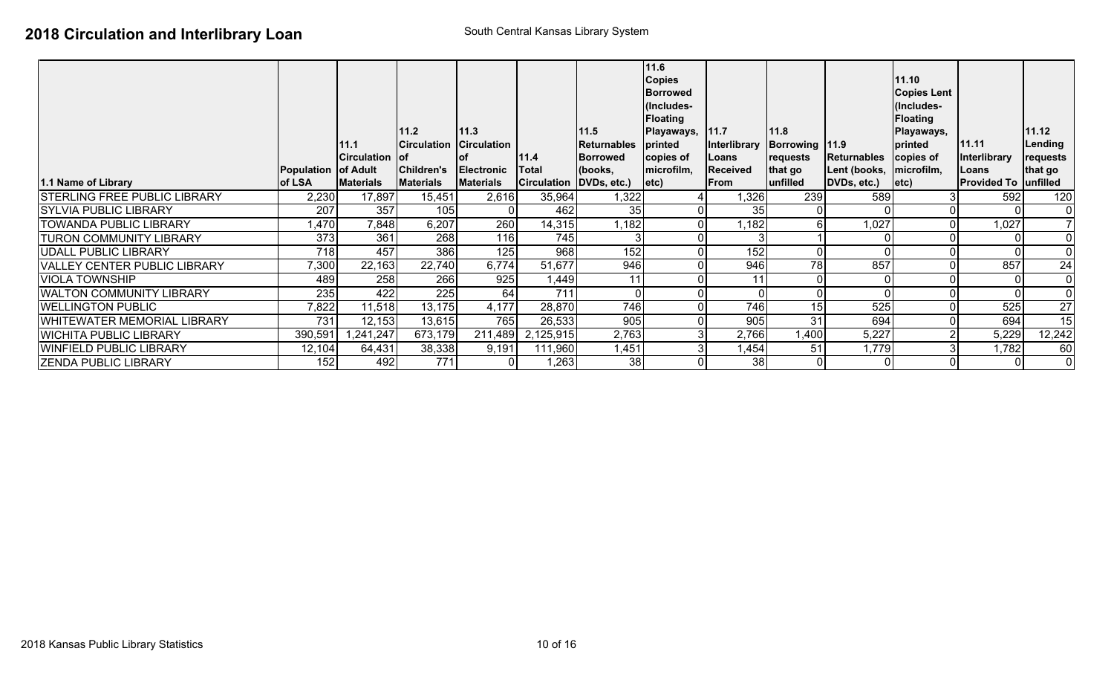| 1.1 Name of Library                 | Population of Adult<br>of LSA | 11.1<br>Circulation of<br><b>Materials</b> | 11.2<br><b>Circulation</b><br>Children's<br><b>Materials</b> | 11.3<br><b>Circulation</b><br>lof<br><b>Electronic</b><br><b>Materials</b> | 11.4<br>Total<br>Circulation DVDs, etc.) | 11.5<br>Returnables<br>Borrowed<br>(books, | 11.6<br><b>Copies</b><br><b>Borrowed</b><br>(Includes-<br><b>Floating</b><br>Playaways,<br>printed<br>copies of<br>microfilm,<br>letc) | 11.7<br>Interlibrary<br>Loans<br><b>Received</b><br>From | 11.8<br>Borrowing 11.9<br>requests<br>that go<br>unfilled | Returnables<br>Lent (books,  microfilm,<br>DVDs, etc.) | 11.10<br><b>Copies Lent</b><br>(Includes-<br><b>Floating</b><br>Playaways,<br>printed<br>copies of<br>$ $ etc $\rangle$ | 11.11<br>Interlibrary<br>Loans<br><b>Provided To unfilled</b> | 11.12<br>Lending<br>requests<br>that go |
|-------------------------------------|-------------------------------|--------------------------------------------|--------------------------------------------------------------|----------------------------------------------------------------------------|------------------------------------------|--------------------------------------------|----------------------------------------------------------------------------------------------------------------------------------------|----------------------------------------------------------|-----------------------------------------------------------|--------------------------------------------------------|-------------------------------------------------------------------------------------------------------------------------|---------------------------------------------------------------|-----------------------------------------|
| <b>STERLING FREE PUBLIC LIBRARY</b> | 2,230                         | 17,897                                     | 15,451                                                       | 2,616                                                                      | 35,964                                   | 1,322                                      |                                                                                                                                        | 1,326                                                    | 239                                                       | 589                                                    |                                                                                                                         | 592                                                           | 120                                     |
| <b>SYLVIA PUBLIC LIBRARY</b>        | 207                           | 357                                        | 105                                                          | $\overline{0}$                                                             | 462                                      | 35                                         |                                                                                                                                        | 35                                                       |                                                           |                                                        |                                                                                                                         | 0I                                                            | $\overline{0}$                          |
| <b>TOWANDA PUBLIC LIBRARY</b>       | 1,470                         | 7,848                                      | 6,207                                                        | 260                                                                        | 14,315                                   | 1,182                                      |                                                                                                                                        | 1,182                                                    | $6 \mid$                                                  | 1,027                                                  |                                                                                                                         | 1,027                                                         | $\overline{7}$                          |
| <b>TURON COMMUNITY LIBRARY</b>      | 373                           | 361                                        | 268                                                          | 116                                                                        | 745                                      |                                            |                                                                                                                                        |                                                          |                                                           |                                                        |                                                                                                                         | 01                                                            | $\mathbf 0$                             |
| UDALL PUBLIC LIBRARY                | 718                           | 457                                        | 386                                                          | 125                                                                        | 968                                      | 152                                        |                                                                                                                                        | 152                                                      |                                                           |                                                        |                                                                                                                         | ΟI                                                            | $\overline{0}$                          |
| <b>VALLEY CENTER PUBLIC LIBRARY</b> | 7,300                         | 22,163                                     | 22,740                                                       | 6,774                                                                      | 51,677                                   | 946                                        |                                                                                                                                        | 946                                                      | 78                                                        | 857                                                    |                                                                                                                         | 857                                                           | $\overline{24}$                         |
| <b>VIOLA TOWNSHIP</b>               | 489                           | 258                                        | 266                                                          | 925                                                                        | 1,449                                    | 11                                         |                                                                                                                                        | 11                                                       |                                                           |                                                        |                                                                                                                         | $\Omega$                                                      | $\mathbf 0$                             |
| <b>WALTON COMMUNITY LIBRARY</b>     | 235                           | 422                                        | 225                                                          | 64                                                                         | 711                                      |                                            |                                                                                                                                        |                                                          |                                                           |                                                        |                                                                                                                         |                                                               | $\overline{0}$                          |
| <b>WELLINGTON PUBLIC</b>            | 7,822                         | 11,518                                     | 13,175                                                       | 4,177                                                                      | 28,870                                   | 746                                        |                                                                                                                                        | 746                                                      | 15                                                        | 525                                                    | 0                                                                                                                       | 525                                                           | $\overline{27}$                         |
| <b>WHITEWATER MEMORIAL LIBRARY</b>  | 731                           | 12,153                                     | 13,615                                                       | 765                                                                        | 26,533                                   | 905                                        |                                                                                                                                        | 905                                                      | 31                                                        | 694                                                    |                                                                                                                         | 694                                                           | 15                                      |
| <b>WICHITA PUBLIC LIBRARY</b>       | 390,591                       | ,241,247                                   | 673,179                                                      | 211,489                                                                    | 2,125,915                                | 2,763                                      |                                                                                                                                        | 2,766                                                    | 1,400                                                     | 5,227                                                  |                                                                                                                         | 5,229                                                         | 12,242                                  |
| <b>WINFIELD PUBLIC LIBRARY</b>      | 12,104                        | 64,431                                     | 38,338                                                       | 9,191                                                                      | 111,960                                  | 1,451                                      |                                                                                                                                        | 1,454                                                    | 51                                                        | 1,779                                                  |                                                                                                                         | 1,782                                                         | 60                                      |
| <b>IZENDA PUBLIC LIBRARY</b>        | 152                           | 492                                        | 771                                                          | ΟI                                                                         | 1,263                                    | 38                                         |                                                                                                                                        | 38 <sup>1</sup>                                          | $\mathbf{0}$                                              |                                                        | $\Omega$                                                                                                                | 01                                                            | $\mathbf 0$                             |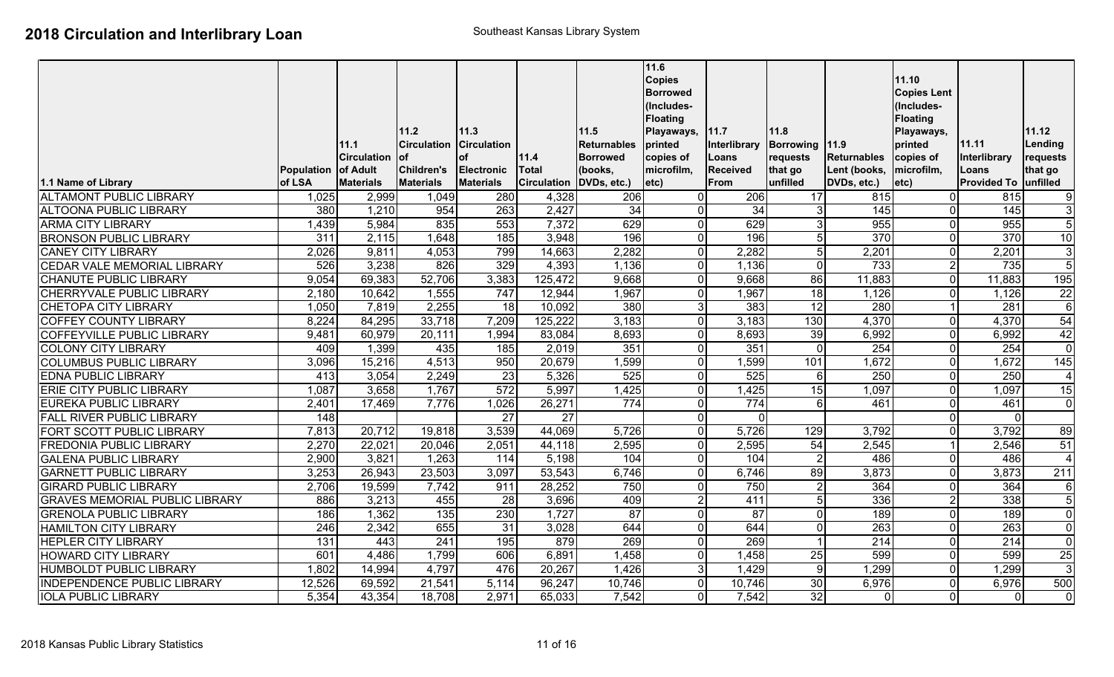|                                       |                     |                    |                    |                    |                         |                    | 11.6<br><b>Copies</b><br><b>Borrowed</b><br>(Includes-<br><b>Floating</b> |                 |                 |                    | 11.10<br><b>Copies Lent</b><br>(Includes-<br><b>Floating</b> |                      |                  |
|---------------------------------------|---------------------|--------------------|--------------------|--------------------|-------------------------|--------------------|---------------------------------------------------------------------------|-----------------|-----------------|--------------------|--------------------------------------------------------------|----------------------|------------------|
|                                       |                     |                    | 11.2               | 11.3               |                         | 11.5               | Playaways,                                                                | 11.7            | 11.8            |                    | Playaways,                                                   |                      | 11.12            |
|                                       |                     | 11.1               | <b>Circulation</b> | <b>Circulation</b> |                         | <b>Returnables</b> | printed                                                                   | Interlibrary    | Borrowing 11.9  |                    | printed                                                      | 11.11                | Lending          |
|                                       |                     | <b>Circulation</b> | lof                | lof                | 11.4                    | <b>Borrowed</b>    | copies of                                                                 | Loans           | requests        | <b>Returnables</b> | copies of                                                    | Interlibrary         | requests         |
|                                       | Population of Adult |                    | <b>Children's</b>  | Electronic         | <b>Total</b>            | (books,            | microfilm,                                                                | <b>Received</b> | that go         | Lent (books,       | microfilm,                                                   | Loans                | that go          |
| 1.1 Name of Library                   | of LSA              | <b>Materials</b>   | <b>Materials</b>   | <b>Materials</b>   | Circulation DVDs, etc.) |                    | $ $ etc $ $                                                               | <b>From</b>     | unfilled        | DVDs, etc.)        | etc)                                                         | Provided To unfilled |                  |
| <b>ALTAMONT PUBLIC LIBRARY</b>        | 1,025               | 2,999              | 1,049              | 280                | 4,328                   | 206                | $\Omega$                                                                  | 206             | $\overline{17}$ | 815                | $\Omega$                                                     | 815                  | $\boldsymbol{9}$ |
| <b>ALTOONA PUBLIC LIBRARY</b>         | 380                 | 1,210              | 954                | 263                | 2,427                   | $\overline{34}$    | ΩI                                                                        | 34              | 3               | 145                | U                                                            | $\frac{145}{145}$    | $\mathbf{3}$     |
| <b>ARMA CITY LIBRARY</b>              | 1,439               | 5,984              | 835                | 553                | 7,372                   | 629                | $\Omega$                                                                  | 629             | $\overline{3}$  | 955                | 0                                                            | 955                  | 5                |
| <b>BRONSON PUBLIC LIBRARY</b>         | 311                 | 2,115              | 1,648              | 185                | 3,948                   | 196                | $\Omega$                                                                  | 196             | $\overline{5}$  | 370                | U                                                            | 370                  | $\overline{10}$  |
| <b>CANEY CITY LIBRARY</b>             | 2,026               | 9,811              | 4,053              | 799                | 14,663                  | 2,282              | $\Omega$                                                                  | 2,282           | 5 <sub>l</sub>  | 2,201              | $\Omega$                                                     | 2,201                | 3                |
| <b>CEDAR VALE MEMORIAL LIBRARY</b>    | 526                 | 3,238              | 826                | 329                | 4,393                   | 1,136              | $\overline{0}$                                                            | 1,136           | $\overline{0}$  | 733                | $\overline{2}$                                               | 735                  | $\overline{5}$   |
| CHANUTE PUBLIC LIBRARY                | 9,054               | 69,383             | 52,706             | 3,383              | 125,472                 | 9,668              | $\Omega$                                                                  | 9,668           | 86              | 11,883             | $\Omega$                                                     | 11,883               | 195              |
| <b>CHERRYVALE PUBLIC LIBRARY</b>      | 2,180               | 10,642             | 1,555              | $\overline{747}$   | 12,944                  | 1,967              | $\overline{0}$                                                            | 1,967           | 18              | 1,126              | $\Omega$                                                     | 1,126                | $\overline{22}$  |
| <b>CHETOPA CITY LIBRARY</b>           | 1,050               | 7,819              | 2,255              | $\overline{18}$    | 10,092                  | 380                | 3 <sup>1</sup>                                                            | 383             | $\overline{12}$ | 280                |                                                              | 281                  | $6\phantom{1}6$  |
| <b>COFFEY COUNTY LIBRARY</b>          | 8,224               | 84,295             | 33,718             | 7,209              | 125,222                 | 3,183              | $\Omega$                                                                  | 3,183           | 130             | 4,370              | $\Omega$                                                     | 4,370                | 54               |
| <b>COFFEYVILLE PUBLIC LIBRARY</b>     | 9,481               | 60,979             | 20,111             | 1,994              | 83,084                  | 8,693              | $\Omega$                                                                  | 8,693           | 39              | 6,992              | U                                                            | 6,992                | 42               |
| <b>COLONY CITY LIBRARY</b>            | 409                 | 1,399              | 435                | 185                | 2,019                   | 351                | $\Omega$                                                                  | 351             | $\Omega$        | 254                | 0                                                            | 254                  | $\mathbf 0$      |
| <b>COLUMBUS PUBLIC LIBRARY</b>        | 3,096               | 15,216             | 4,513              | 950                | 20,679                  | 1,599              | ΩI                                                                        | 1,599           | 101             | 1,672              | 0                                                            | 1,672                | $\overline{145}$ |
| <b>EDNA PUBLIC LIBRARY</b>            | 413                 | 3,054              | 2,249              | 23                 | 5,326                   | 525                | $\Omega$                                                                  | 525             | $6 \mid$        | 250                | $\Omega$                                                     | 250                  | 4                |
| <b>ERIE CITY PUBLIC LIBRARY</b>       | 1,087               | 3,658              | 1,767              | 572                | 5,997                   | 1,425              | $\Omega$                                                                  | 1,425           | 15              | 1,097              | $\Omega$                                                     | 1,097                | 15               |
| <b>EUREKA PUBLIC LIBRARY</b>          | 2,401               | 17,469             | 7,776              | 1,026              | 26,271                  | 774                | $\Omega$                                                                  | 774             | $6 \mid$        | 461                | 0                                                            | 461                  | $\mathbf 0$      |
| <b>FALL RIVER PUBLIC LIBRARY</b>      | $\overline{148}$    |                    |                    | $\overline{27}$    | $\overline{27}$         |                    | $\overline{0}$                                                            | $\Omega$        |                 |                    | $\Omega$                                                     | $\mathbf 0$          |                  |
| FORT SCOTT PUBLIC LIBRARY             | 7,813               | 20,712             | 19,818             | 3,539              | 44,069                  | 5,726              | $\overline{0}$                                                            | 5,726           | 129             | 3,792              | U                                                            | 3,792                | 89               |
| <b>FREDONIA PUBLIC LIBRARY</b>        | 2,270               | 22,021             | 20,046             | 2,051              | 44,118                  | 2,595              | $\Omega$                                                                  | 2,595           | $\overline{54}$ | 2,545              |                                                              | 2,546                | 51               |
| <b>GALENA PUBLIC LIBRARY</b>          | 2,900               | 3,821              | 1,263              | $\overline{114}$   | 5,198                   | 104                | $\overline{0}$                                                            | 104             | $\overline{2}$  | 486                | 0                                                            | 486                  | $\overline{4}$   |
| <b>GARNETT PUBLIC LIBRARY</b>         | 3,253               | 26,943             | 23,503             | 3,097              | 53,543                  | 6,746              | $\Omega$                                                                  | 6,746           | 89              | 3,873              | 0                                                            | 3,873                | 211              |
| <b>GIRARD PUBLIC LIBRARY</b>          | 2,706               | 19,599             | 7,742              | 911                | 28,252                  | 750                | $\Omega$                                                                  | 750             | $\overline{2}$  | 364                | 0                                                            | 364                  | 6                |
| <b>GRAVES MEMORIAL PUBLIC LIBRARY</b> | 886                 | 3,213              | 455                | $\overline{28}$    | 3,696                   | 409                | $\overline{2}$                                                            | 411             | 5 <sub>l</sub>  | 336                | $\overline{2}$                                               | $\frac{1}{338}$      | $\overline{5}$   |
| <b>GRENOLA PUBLIC LIBRARY</b>         | 186                 | 1,362              | 135                | 230                | 1,727                   | $\overline{87}$    | $\Omega$                                                                  | 87              | $\overline{0}$  | 189                | U                                                            | 189                  | $\overline{0}$   |
| <b>HAMILTON CITY LIBRARY</b>          | 246                 | 2,342              | 655                | $\overline{31}$    | 3,028                   | 644                | $\overline{0}$                                                            | 644             | $\overline{0}$  | 263                | U                                                            | 263                  | $\overline{0}$   |
| <b>HEPLER CITY LIBRARY</b>            | 131                 | 443                | 241                | 195                | 879                     | 269                | $\Omega$                                                                  | 269             |                 | 214                | 0                                                            | 214                  | $\mathbf 0$      |
| <b>HOWARD CITY LIBRARY</b>            | 601                 | 4,486              | 1,799              | 606                | 6,891                   | 1,458              | $\Omega$                                                                  | 1,458           | $\overline{25}$ | 599                | U                                                            | 599                  | 25               |
| <b>HUMBOLDT PUBLIC LIBRARY</b>        | 1,802               | 14,994             | 4,797              | 476                | 20,267                  | 1,426              | 3 <sup>l</sup>                                                            | 1,429           | $\overline{9}$  | 1,299              | $\Omega$                                                     | 1,299                | 3                |
| <b>INDEPENDENCE PUBLIC LIBRARY</b>    | 12,526              | 69,592             | 21,541             | 5,114              | 96,247                  | 10,746             | $\Omega$                                                                  | 10,746          | 30              | 6,976              | $\Omega$                                                     | 6,976                | 500              |
| <b>IOLA PUBLIC LIBRARY</b>            | 5,354               | 43,354             | 18,708             | 2,971              | 65,033                  | 7,542              | $\Omega$                                                                  | 7,542           | 32              | $\overline{0}$     | 0                                                            | $\mathbf 0$          | $\mathbf 0$      |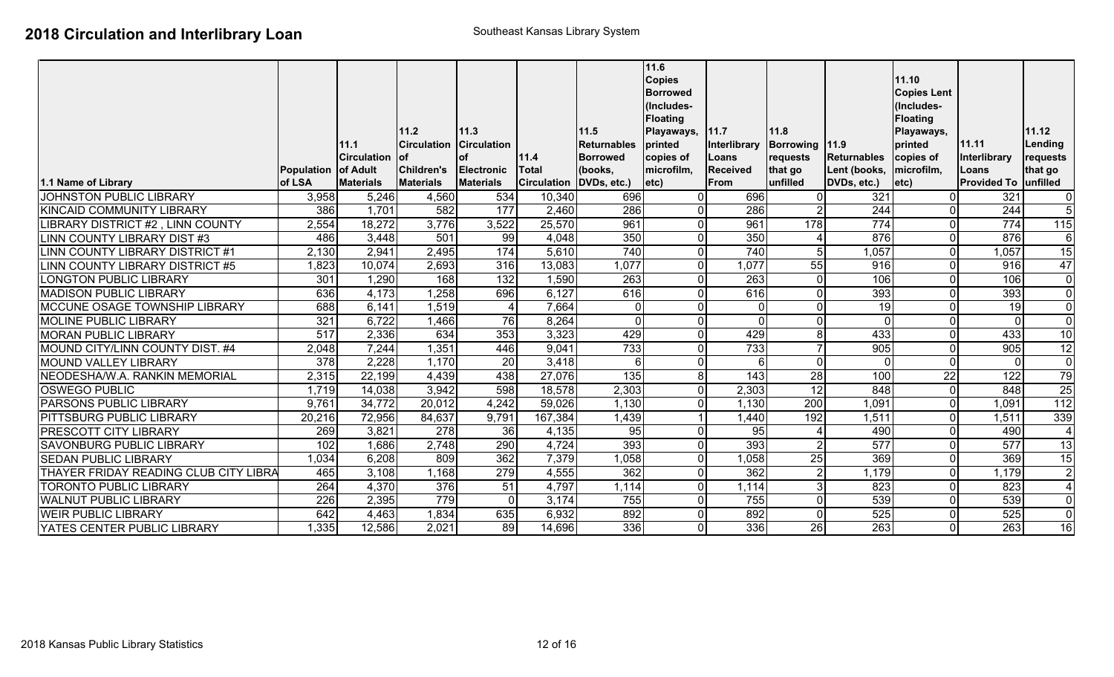| 1.1 Name of Library                          | Population of Adult<br>of LSA | 11.1<br><b>Circulation</b><br><b>Materials</b> | 11.2<br><b>Circulation</b><br>lof.<br>Children's<br><b>Materials</b> | 11.3<br><b>Circulation</b><br><b>of</b><br><b>Electronic</b><br><b>Materials</b> | 11.4<br><b>Total</b><br><b>Circulation</b> | 11.5<br><b>Returnables</b><br><b>Borrowed</b><br>(books,<br>DVDs, etc.) | 11.6<br><b>Copies</b><br><b>Borrowed</b><br>(Includes-<br><b>Floating</b><br>Playaways, 11.7<br>printed<br>copies of<br>microfilm,<br>letc) | Interlibrary<br>Loans<br><b>Received</b><br><b>From</b> | 11.8<br>Borrowing 11.9<br>requests<br>that go<br>unfilled | <b>Returnables</b><br>Lent (books,<br>DVDs, etc.) | 11.10<br><b>Copies Lent</b><br>(Includes-<br><b>Floating</b><br>Playaways,<br>printed<br>copies of<br>microfilm,<br>$ $ etc $ $ | 11.11<br>Interlibrary<br>Loans<br><b>Provided To</b> | 11.12<br>Lending<br>requests<br>that go<br>unfilled |
|----------------------------------------------|-------------------------------|------------------------------------------------|----------------------------------------------------------------------|----------------------------------------------------------------------------------|--------------------------------------------|-------------------------------------------------------------------------|---------------------------------------------------------------------------------------------------------------------------------------------|---------------------------------------------------------|-----------------------------------------------------------|---------------------------------------------------|---------------------------------------------------------------------------------------------------------------------------------|------------------------------------------------------|-----------------------------------------------------|
| <b>JOHNSTON PUBLIC LIBRARY</b>               | 3,958                         | 5,246                                          | 4,560                                                                | 534                                                                              | 10,340                                     | 696                                                                     | $\Omega$                                                                                                                                    | 696                                                     | $\Omega$                                                  | 321                                               |                                                                                                                                 | 321                                                  | $\mathbf 0$                                         |
| <b>KINCAID COMMUNITY LIBRARY</b>             | 386                           | 1,701                                          | 582                                                                  | 177                                                                              | 2,460                                      | 286                                                                     | $\Omega$                                                                                                                                    | 286                                                     | $\overline{2}$                                            | 244                                               | <sup>0</sup>                                                                                                                    | 244                                                  | $\overline{5}$                                      |
| LIBRARY DISTRICT #2, LINN COUNTY             | 2,554                         | 18,272                                         | 3,776                                                                | 3,522                                                                            | 25,570                                     | 961                                                                     | $\overline{0}$                                                                                                                              | 961                                                     | 178                                                       | 774                                               | U                                                                                                                               | 774                                                  | 115                                                 |
| <b>LINN COUNTY LIBRARY DIST #3</b>           | 486                           | 3,448                                          | 501                                                                  | 99                                                                               | 4,048                                      | 350                                                                     | $\Omega$                                                                                                                                    | 350                                                     |                                                           | 876                                               | 0                                                                                                                               | 876                                                  | 6                                                   |
| LINN COUNTY LIBRARY DISTRICT #1              | 2,130                         | 2,941                                          | 2,495                                                                | 174                                                                              | 5,610                                      | 740                                                                     | $\overline{0}$                                                                                                                              | 740                                                     | 5 <sub>l</sub>                                            | 1,057                                             |                                                                                                                                 | 1,057                                                | 15                                                  |
| LINN COUNTY LIBRARY DISTRICT #5              | 1,823                         | 10,074                                         | 2,693                                                                | 316                                                                              | 13,083                                     | 1,077                                                                   | $\Omega$                                                                                                                                    | 1,077                                                   | 55                                                        | 916                                               |                                                                                                                                 | 916                                                  | 47                                                  |
| <b>LONGTON PUBLIC LIBRARY</b>                | 301                           | 1,290                                          | 168                                                                  | 132                                                                              | 1,590                                      | $\overline{263}$                                                        | ΩI                                                                                                                                          | 263                                                     | $\overline{0}$                                            | 106                                               | U                                                                                                                               | 106                                                  | $\overline{0}$                                      |
| <b>MADISON PUBLIC LIBRARY</b>                | 636                           | 4,173                                          | 1,258                                                                | 696                                                                              | 6,127                                      | 616                                                                     | $\Omega$                                                                                                                                    | 616                                                     | $\overline{0}$                                            | 393                                               |                                                                                                                                 | 393                                                  | $\pmb{0}$                                           |
| MCCUNE OSAGE TOWNSHIP LIBRARY                | 688                           | 6,141                                          | 1,519                                                                | 4                                                                                | 7,664                                      | $\overline{0}$                                                          | $\Omega$                                                                                                                                    | $\mathbf 0$                                             | $\overline{0}$                                            | 19                                                |                                                                                                                                 | 19                                                   | $\mathbf 0$                                         |
| <b>MOLINE PUBLIC LIBRARY</b>                 | 321                           | 6,722                                          | 1,466                                                                | 76                                                                               | 8,264                                      | $\overline{0}$                                                          | $\overline{0}$                                                                                                                              | $\mathbf 0$                                             | $\overline{0}$                                            | 0l                                                |                                                                                                                                 | $\mathbf 0$                                          | $\mathbf 0$                                         |
| <b>MORAN PUBLIC LIBRARY</b>                  | 517                           | 2,336                                          | 634                                                                  | 353                                                                              | 3,323                                      | 429                                                                     | $\Omega$                                                                                                                                    | 429                                                     | 8 <sup>1</sup>                                            | 433                                               |                                                                                                                                 | 433                                                  | $\overline{10}$                                     |
| MOUND CITY/LINN COUNTY DIST. #4              | 2,048                         | 7,244                                          | 1,351                                                                | 446                                                                              | 9,041                                      | 733                                                                     | $\Omega$                                                                                                                                    | 733                                                     | $\overline{7}$                                            | 905                                               | U                                                                                                                               | 905                                                  | 12                                                  |
| MOUND VALLEY LIBRARY                         | $\overline{378}$              | 2,228                                          | 1,170                                                                | $\overline{20}$                                                                  | 3,418                                      | $6 \mid$                                                                | $\Omega$                                                                                                                                    | 6                                                       | $\overline{0}$                                            | $\Omega$                                          | U                                                                                                                               | $\Omega$                                             | $\mathbf 0$                                         |
| NEODESHA/W.A. RANKIN MEMORIAL                | 2,315                         | 22,199                                         | 4,439                                                                | 438                                                                              | 27,076                                     | 135                                                                     | 8 <sup>1</sup>                                                                                                                              | $\overline{143}$                                        | $\overline{28}$                                           | 100                                               | 22                                                                                                                              | 122                                                  | 79                                                  |
| <b>OSWEGO PUBLIC</b>                         | 1,719                         | 14,038                                         | 3,942                                                                | 598                                                                              | 18,578                                     | 2,303                                                                   | $\overline{0}$                                                                                                                              | 2,303                                                   | 12                                                        | 848                                               | 0                                                                                                                               | 848                                                  | $\overline{25}$                                     |
| <b>PARSONS PUBLIC LIBRARY</b>                | 9,761                         | 34,772                                         | 20,012                                                               | 4,242                                                                            | 59,026                                     | 1,130                                                                   | $\Omega$                                                                                                                                    | 1,130                                                   | $\overline{200}$                                          | 1,091                                             | 0                                                                                                                               | 1,091                                                | $\overline{112}$                                    |
| <b>PITTSBURG PUBLIC LIBRARY</b>              | 20,216                        | 72,956                                         | 84,637                                                               | 9,791                                                                            | 167,384                                    | 1,439                                                                   |                                                                                                                                             | 1,440                                                   | 192                                                       | 1,511                                             |                                                                                                                                 | 1,511                                                | 339                                                 |
| <b>PRESCOTT CITY LIBRARY</b>                 | 269                           | 3,821                                          | 278                                                                  | $\overline{36}$                                                                  | 4,135                                      | 95                                                                      | $\Omega$                                                                                                                                    | $\overline{95}$                                         |                                                           | 490                                               | <sup>0</sup>                                                                                                                    | 490                                                  | $\overline{4}$                                      |
| <b>SAVONBURG PUBLIC LIBRARY</b>              | 102                           | 1,686                                          | 2,748                                                                | 290                                                                              | 4,724                                      | 393                                                                     | $\Omega$                                                                                                                                    | 393                                                     | 2 <sup>1</sup>                                            | 577                                               | U                                                                                                                               | 577                                                  | $\overline{13}$                                     |
| <b>SEDAN PUBLIC LIBRARY</b>                  | 1,034                         | 6,208                                          | 809                                                                  | 362                                                                              | 7,379                                      | 1,058                                                                   | $\Omega$                                                                                                                                    | 1,058                                                   | 25                                                        | 369                                               |                                                                                                                                 | 369                                                  | $\overline{15}$                                     |
| <b>THAYER FRIDAY READING CLUB CITY LIBRA</b> | 465                           | 3,108                                          | 1,168                                                                | 279                                                                              | 4,555                                      | 362                                                                     | 0I                                                                                                                                          | 362                                                     | 2 <sup>1</sup>                                            | 1,179                                             | 01                                                                                                                              | 1,179                                                | $\sqrt{2}$                                          |
| <b>TORONTO PUBLIC LIBRARY</b>                | 264                           | 4,370                                          | $\overline{376}$                                                     | $\overline{51}$                                                                  | 4,797                                      | 1,114                                                                   | $\Omega$                                                                                                                                    | 1,114                                                   | 3 <sub>l</sub>                                            | 823                                               | <sup>0</sup>                                                                                                                    | 823                                                  | $\overline{4}$                                      |
| <b>WALNUT PUBLIC LIBRARY</b>                 | 226                           | 2,395                                          | 779                                                                  | $\mathbf 0$                                                                      | 3,174                                      | 755                                                                     | $\Omega$                                                                                                                                    | 755                                                     | $\overline{0}$                                            | 539                                               |                                                                                                                                 | 539                                                  | $\mathbf 0$                                         |
| <b>WEIR PUBLIC LIBRARY</b>                   | 642                           | 4,463                                          | 1,834                                                                | 635                                                                              | 6,932                                      | 892                                                                     | $\Omega$                                                                                                                                    | 892                                                     | $\overline{0}$                                            | 525                                               | <sup>0</sup>                                                                                                                    | 525                                                  | $\overline{0}$                                      |
| <b>YATES CENTER PUBLIC LIBRARY</b>           | 1,335                         | 12,586                                         | 2,021                                                                | 89                                                                               | 14,696                                     | 336                                                                     | $\Omega$                                                                                                                                    | 336                                                     | 26                                                        | 263                                               |                                                                                                                                 | 263                                                  | 16                                                  |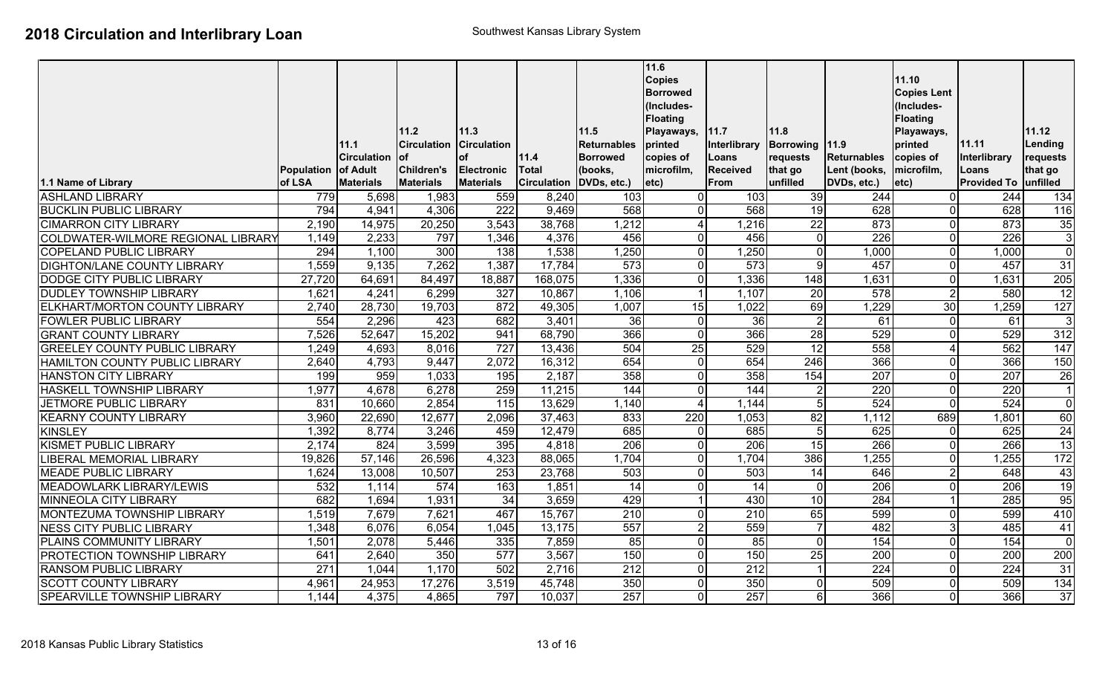|                                           |            |                                |                                   |                            |                         |                            | 11.6<br><b>Copies</b><br><b>Borrowed</b>                            |                          |                        |                             | 11.10<br><b>Copies Lent</b>                                         |                       |                     |
|-------------------------------------------|------------|--------------------------------|-----------------------------------|----------------------------|-------------------------|----------------------------|---------------------------------------------------------------------|--------------------------|------------------------|-----------------------------|---------------------------------------------------------------------|-----------------------|---------------------|
|                                           |            | 11.1                           | 11.2<br><b>Circulation</b><br>lof | 11.3<br><b>Circulation</b> |                         | 11.5<br><b>Returnables</b> | (Includes-<br><b>Floating</b><br>Playaways,<br>printed<br>copies of | 11.7<br>Interlibrary     | 11.8<br>Borrowing 11.9 |                             | (Includes-<br><b>Floating</b><br>Playaways,<br>printed<br>copies of | 11.11                 | 11.12<br>Lending    |
|                                           | Population | <b>Circulation</b><br>of Adult | <b>Children's</b>                 | <b>of</b><br>Electronic    | 11.4<br><b>Total</b>    | <b>Borrowed</b><br>(books, | microfilm,                                                          | Loans<br><b>Received</b> | requests<br>that go    | Returnables<br>Lent (books, | microfilm,                                                          | Interlibrary<br>Loans | requests<br>that go |
| 1.1 Name of Library                       | of LSA     | <b>Materials</b>               | <b>Materials</b>                  | <b>Materials</b>           | Circulation DVDs, etc.) |                            | $ $ etc $ $                                                         | <b>From</b>              | unfilled               | DVDs, etc.)                 | $ $ etc $ $                                                         | Provided To unfilled  |                     |
| <b>ASHLAND LIBRARY</b>                    | 779        | 5,698                          | 1,983                             | 559                        | 8,240                   | 103                        | $\Omega$                                                            | 103                      | 39                     | 244                         |                                                                     | 244                   | 134                 |
| <b>BUCKLIN PUBLIC LIBRARY</b>             | 794        | 4,941                          | 4,306                             | 222                        | 9,469                   | 568                        | $\Omega$                                                            | 568                      | 19                     | 628                         | ΩI                                                                  | 628                   | 116                 |
| <b>CIMARRON CITY LIBRARY</b>              | 2,190      | 14,975                         | 20,250                            | 3,543                      | 38,768                  | 1,212                      | Δ                                                                   | 1,216                    | 22                     | 873                         | 0                                                                   | 873                   | 35                  |
| <b>COLDWATER-WILMORE REGIONAL LIBRARY</b> | 1,149      | 2,233                          | 797                               | 1,346                      | 4,376                   | 456                        | $\Omega$                                                            | 456                      | $\overline{0}$         | 226                         | 0                                                                   | $\overline{226}$      | $\overline{3}$      |
| <b>COPELAND PUBLIC LIBRARY</b>            | 294        | 1,100                          | 300                               | 138                        | 1,538                   | 1,250                      | $\Omega$                                                            | 1,250                    | $\Omega$               | 1,000                       | 0l                                                                  | 1,000                 | $\mathbf 0$         |
| <b>DIGHTON/LANE COUNTY LIBRARY</b>        | 1,559      | $\overline{9,135}$             | 7,262                             | 1,387                      | 17,784                  | 573                        | $\Omega$                                                            | 573                      | $\overline{9}$         | 457                         | ΩI                                                                  | 457                   | 31                  |
| DODGE CITY PUBLIC LIBRARY                 | 27,720     | 64,691                         | 84,497                            | 18,887                     | 168,075                 | 1,336                      | $\Omega$                                                            | 1,336                    | 148                    | 1,631                       | ΩI                                                                  | 1,631                 | 205                 |
| <b>DUDLEY TOWNSHIP LIBRARY</b>            | 1,621      | 4,241                          | 6,299                             | 327                        | 10,867                  | 1,106                      |                                                                     | 1,107                    | 20                     | 578                         | $\overline{2}$                                                      | 580                   | $\overline{12}$     |
| ELKHART/MORTON COUNTY LIBRARY             | 2,740      | 28,730                         | 19,703                            | 872                        | 49,305                  | 1,007                      | 15                                                                  | 1,022                    | 69                     | 1,229                       | $\overline{30}$                                                     | 1,259                 | 127                 |
| <b>FOWLER PUBLIC LIBRARY</b>              | 554        | 2,296                          | 423                               | 682                        | 3,401                   | 36                         | $\Omega$                                                            | 36                       | $\overline{2}$         | 61                          | ΩI                                                                  | 61                    | $\mathbf{3}$        |
| <b>GRANT COUNTY LIBRARY</b>               | 7,526      | 52,647                         | 15,202                            | 941                        | 68,790                  | 366                        | $\Omega$                                                            | 366                      | 28                     | 529                         | ΩI                                                                  | 529                   | 312                 |
| <b>GREELEY COUNTY PUBLIC LIBRARY</b>      | 1,249      | 4,693                          | 8,016                             | 727                        | 13,436                  | 504                        | 25                                                                  | 529                      | 12                     | 558                         | Δ                                                                   | 562                   | 147                 |
| HAMILTON COUNTY PUBLIC LIBRARY            | 2,640      | 4,793                          | 9,447                             | 2,072                      | 16,312                  | 654                        | $\Omega$                                                            | 654                      | 246                    | 366                         | U                                                                   | 366                   | 150                 |
| <b>HANSTON CITY LIBRARY</b>               | 199        | 959                            | 1,033                             | 195                        | 2,187                   | 358                        | $\Omega$                                                            | 358                      | 154                    | 207                         | U                                                                   | 207                   | 26                  |
| HASKELL TOWNSHIP LIBRARY                  | 1,977      | 4,678                          | 6,278                             | 259                        | 11,215                  | 144                        | $\Omega$                                                            | 144                      | $\overline{2}$         | 220                         | U                                                                   | 220                   | $\overline{1}$      |
| JETMORE PUBLIC LIBRARY                    | 831        | 10,660                         | 2,854                             | 115                        | 13,629                  | 1,140                      |                                                                     | 1,144                    | 5 <sub>5</sub>         | 524                         | ΩI                                                                  | 524                   | $\overline{0}$      |
| <b>KEARNY COUNTY LIBRARY</b>              | 3,960      | 22,690                         | 12,677                            | 2,096                      | 37,463                  | 833                        | 220                                                                 | 1,053                    | 82                     | 1,112                       | 689                                                                 | 1,801                 | 60                  |
| <b>KINSLEY</b>                            | 1,392      | 8,774                          | 3,246                             | 459                        | 12,479                  | 685                        | $\overline{0}$                                                      | 685                      | 5 <sub>5</sub>         | 625                         | 0                                                                   | 625                   | $\overline{24}$     |
| <b>KISMET PUBLIC LIBRARY</b>              | 2,174      | 824                            | 3,599                             | 395                        | 4,818                   | $\overline{206}$           | $\Omega$                                                            | 206                      | 15                     | 266                         | 0l                                                                  | 266                   | $\overline{13}$     |
| <b>LIBERAL MEMORIAL LIBRARY</b>           | 19,826     | 57,146                         | 26,596                            | 4,323                      | 88,065                  | 1,704                      | $\Omega$                                                            | 1,704                    | 386                    | 1,255                       | ΩI                                                                  | 1,255                 | 172                 |
| <b>MEADE PUBLIC LIBRARY</b>               | 1,624      | 13,008                         | 10,507                            | 253                        | 23,768                  | 503                        | $\Omega$                                                            | 503                      | 14                     | 646                         | $\overline{2}$                                                      | 648                   | 43                  |
| <b>MEADOWLARK LIBRARY/LEWIS</b>           | 532        | 1,114                          | 574                               | 163                        | 1,851                   | $\overline{14}$            | $\Omega$                                                            | 14                       | $\mathbf 0$            | 206                         | U                                                                   | $\overline{206}$      | $\overline{19}$     |
| <b>MINNEOLA CITY LIBRARY</b>              | 682        | 1,694                          | 1,931                             | $\overline{34}$            | 3,659                   | 429                        |                                                                     | 430                      | 10                     | 284                         |                                                                     | 285                   | 95                  |
| MONTEZUMA TOWNSHIP LIBRARY                | 1,519      | 7,679                          | 7,621                             | 467                        | 15,767                  | 210                        | $\Omega$                                                            | 210                      | 65                     | 599                         | 0                                                                   | 599                   | 410                 |
| <b>NESS CITY PUBLIC LIBRARY</b>           | 1,348      | 6,076                          | 6,054                             | 1,045                      | 13,175                  | 557                        | 2                                                                   | 559                      | $\overline{7}$         | 482                         | $\mathbf{3}$                                                        | 485                   | 41                  |
| PLAINS COMMUNITY LIBRARY                  | 1,501      | 2,078                          | 5,446                             | 335                        | 7,859                   | 85                         | $\Omega$                                                            | 85                       | $\Omega$               | 154                         | 0                                                                   | 154                   | $\mathbf 0$         |
| PROTECTION TOWNSHIP LIBRARY               | 641        | 2,640                          | 350                               | 577                        | 3,567                   | 150                        | $\Omega$                                                            | 150                      | 25                     | 200                         | 0                                                                   | 200                   | 200                 |
| <b>RANSOM PUBLIC LIBRARY</b>              | 271        | 1,044                          | 1,170                             | 502                        | 2,716                   | $\overline{212}$           | $\Omega$                                                            | 212                      |                        | $\overline{224}$            | ΩI                                                                  | 224                   | $\overline{31}$     |
| <b>SCOTT COUNTY LIBRARY</b>               | 4,961      | 24,953                         | 17,276                            | 3,519                      | 45,748                  | 350                        | $\Omega$                                                            | 350                      | $\Omega$               | 509                         | U                                                                   | 509                   | 134                 |
| SPEARVILLE TOWNSHIP LIBRARY               | 1,144      | 4,375                          | 4,865                             | 797                        | 10,037                  | 257                        | $\Omega$                                                            | 257                      | $\overline{6}$         | 366                         | ΩI                                                                  | 366                   | 37                  |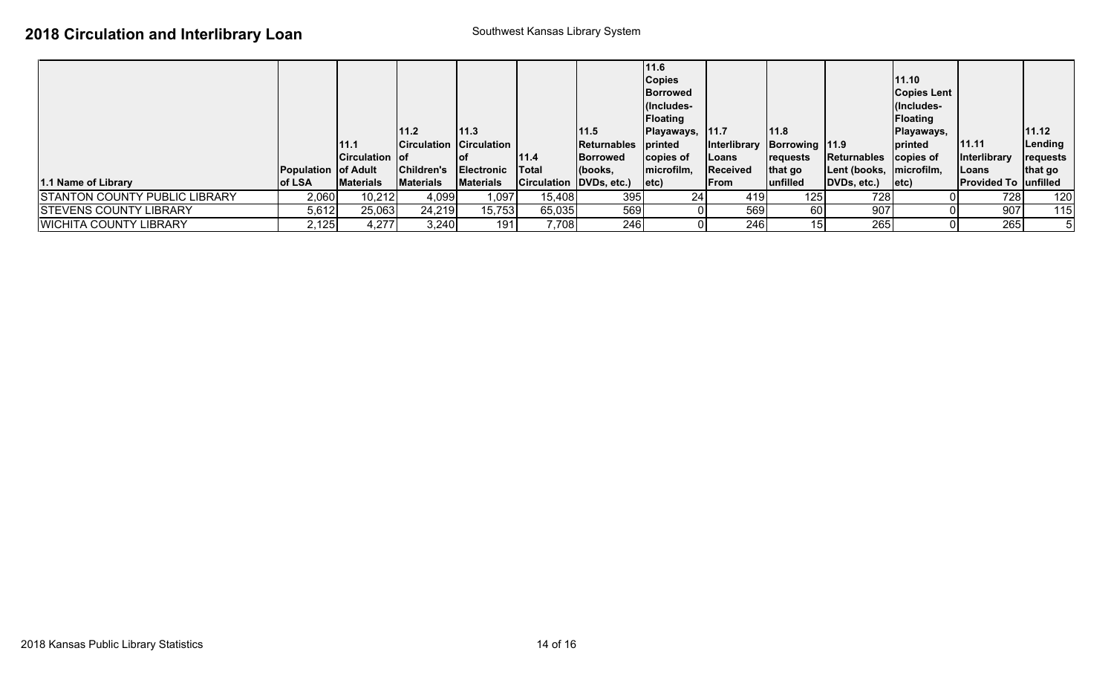|                                      |                            |                       |                  |                                  |                         |                     | 11.6            |                             |                 |                           |                    |                               |          |
|--------------------------------------|----------------------------|-----------------------|------------------|----------------------------------|-------------------------|---------------------|-----------------|-----------------------------|-----------------|---------------------------|--------------------|-------------------------------|----------|
|                                      |                            |                       |                  |                                  |                         |                     | <b>Copies</b>   |                             |                 |                           | 11.10              |                               |          |
|                                      |                            |                       |                  |                                  |                         |                     | <b>Borrowed</b> |                             |                 |                           | <b>Copies Lent</b> |                               |          |
|                                      |                            |                       |                  |                                  |                         |                     | (Includes-      |                             |                 |                           | l(Includes-        |                               |          |
|                                      |                            |                       |                  |                                  |                         |                     | <b>Floating</b> |                             |                 |                           | Floating           |                               |          |
|                                      |                            |                       | 11.2             | 11.3                             |                         | 11.5                | Playaways, 11.7 |                             | 11.8            |                           | Playaways,         |                               | 11.12    |
|                                      |                            | 111.1                 |                  | <b>Circulation Circulation  </b> |                         | Returnables printed |                 | Interlibrary Borrowing 11.9 |                 |                           | printed            | 11.11                         | Lending  |
|                                      |                            | <b>Circulation of</b> |                  |                                  | 11.4                    | <b>Borrowed</b>     | copies of       | Loans                       | <b>requests</b> | Returnables copies of     |                    | Interlibrary                  | requests |
|                                      | <b>Population of Adult</b> |                       | Children's       | <b>Electronic</b>                | Total                   | (books,             | microfilm,      | <b>Received</b>             | that go         | Lent (books,   microfilm, |                    | Loans                         | that go  |
| 1.1 Name of Library                  | of LSA                     | <b>Materials</b>      | <b>Materials</b> | <b>Materials</b>                 | Circulation DVDs, etc.) |                     | letc)           | From                        | <b>unfilled</b> | DVDs, etc.)               | $ $ etc $\rangle$  | <b>Provided To   unfilled</b> |          |
| <b>STANTON COUNTY PUBLIC LIBRARY</b> | 2,060                      | 10,212                | 4,099            | 1,097                            | 15,408                  | 395                 | 24 <sub>1</sub> | 419                         | 125             | 728I                      |                    | 728                           | 120      |
| <b>STEVENS COUNTY LIBRARY</b>        | 5,612                      | 25,063                | 24,219           | 15,753                           | 65,035                  | 569                 |                 | 569                         | 60              | 907                       |                    | 907                           | 115      |
| <b>WICHITA COUNTY LIBRARY</b>        | 2,125                      | 4,277                 | 3,240            | 191                              | 7,708                   | 246                 |                 | 246                         | 15              | 265                       |                    | 265                           | 5        |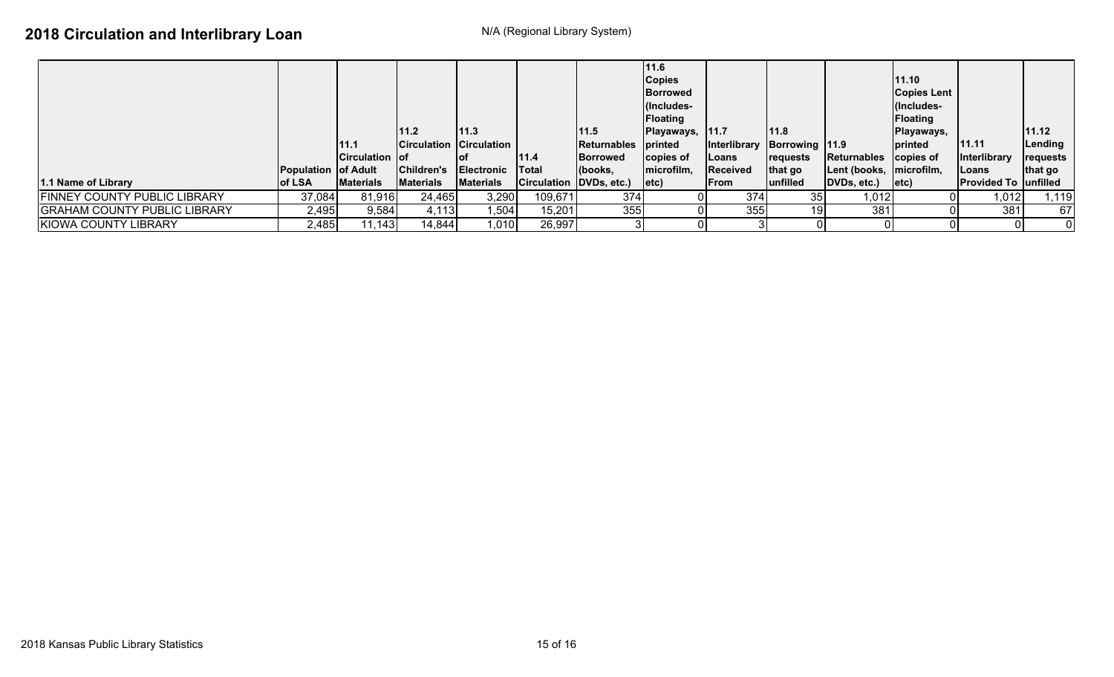|                                     |                            |                       |                  |                                   |                         |                     | 11.6              |                             |                 |                         |                   |                               |                 |
|-------------------------------------|----------------------------|-----------------------|------------------|-----------------------------------|-------------------------|---------------------|-------------------|-----------------------------|-----------------|-------------------------|-------------------|-------------------------------|-----------------|
|                                     |                            |                       |                  |                                   |                         |                     | <b>Copies</b>     |                             |                 |                         | 11.10             |                               |                 |
|                                     |                            |                       |                  |                                   |                         |                     | <b>IBorrowed</b>  |                             |                 |                         | Copies Lent       |                               |                 |
|                                     |                            |                       |                  |                                   |                         |                     | (Includes-        |                             |                 |                         | (Includes-        |                               |                 |
|                                     |                            |                       |                  |                                   |                         |                     | Floating          |                             |                 |                         | <b>Floating</b>   |                               |                 |
|                                     |                            |                       | 111.2            | 11.3                              |                         | 11.5                | Playaways, 11.7   |                             | 11.8            |                         | Playaways,        |                               | 11.12           |
|                                     |                            | 11.1                  |                  | <b>ICirculation Circulation I</b> |                         | Returnables printed |                   | Interlibrary Borrowing 11.9 |                 |                         | printed           | 11.11                         | Lending         |
|                                     |                            | <b>Circulation of</b> |                  |                                   | 11.4                    | <b>Borrowed</b>     | copies of         | Loans                       | <b>requests</b> | Returnables copies of   |                   | <b>Interlibrary</b>           | <b>requests</b> |
|                                     | <b>Population of Adult</b> |                       | Children's       | <b>Electronic</b>                 | <b>Total</b>            | (books,             | microfilm,        | <b>Received</b>             | that go         | Lent (books, microfilm, |                   | Loans                         | that go         |
| 11.1 Name of Library                | of LSA                     | <b>Materials</b>      | <b>Materials</b> | <b>Materials</b>                  | Circulation DVDs, etc.) |                     | $ $ etc $\rangle$ | <b>From</b>                 | lunfilled       | DVDs, etc.)             | $ $ etc $\rangle$ | <b>Provided To   unfilled</b> |                 |
| FINNEY COUNTY PUBLIC LIBRARY        | 37,084                     | 81,916                | 24,465           | 3,290                             | 109,671                 | 374                 |                   | 374                         | 35              | 1,012                   |                   | 1,012                         | 1,119           |
| <b>GRAHAM COUNTY PUBLIC LIBRARY</b> | 2,495                      | 9,584                 | 4,113            | 1,504                             | 15,201                  | 355                 |                   | 355                         | 19              | 381                     |                   | 381                           | 67              |
| KIOWA COUNTY LIBRARY                | 2,485                      | 11,143                | 14,844           | 1,010                             | 26,997                  |                     |                   |                             |                 |                         |                   |                               | 0               |